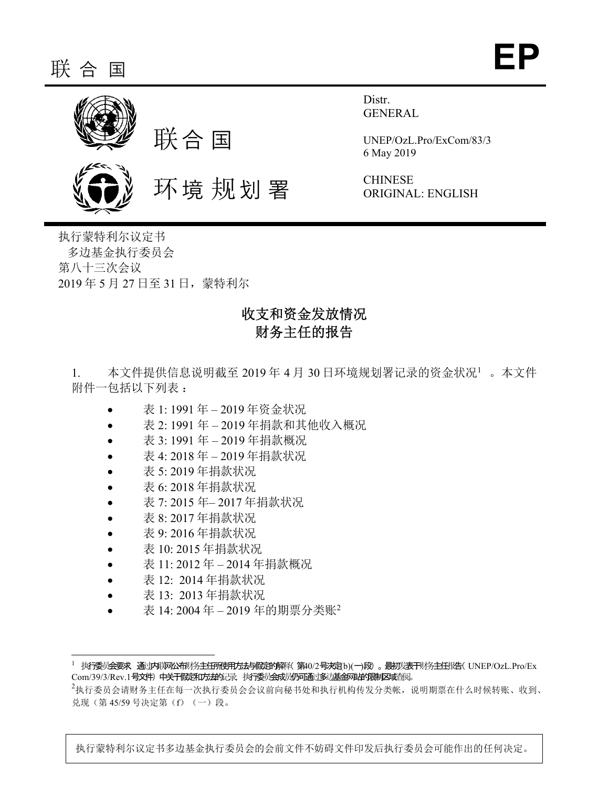

Distr. GENERAL

UNEP/OzL.Pro/ExCom/83/3 6 May 2019

CHINESE ORIGINAL: ENGLISH

执行蒙特利尔议定书 多边基金执行委员会 第八十三次会议 2019 年 5 月 27 日至 31 日,蒙特利尔

# 收支和资金发放情况 财务主任的报告

1. 本文件提供信息说明截至 2019年 4月 30日环境规划署记录的资金状况1。本文件 附件一包括以下列表 :

- 表 1: 1991 年 2019 年资金状况
- 表 2: 1991 年 2019 年捐款和其他收入概况
- 表 3: 1991 年 2019 年捐款概况
- 表 4: 2018 年 2019 年捐款状况
- 表 5: 2019 年捐款状况
- 表 6: 2018 年捐款状况
- 表 7: 2015 年– 2017 年捐款状况
- 表 8: 2017 年捐款状况
- 表 9: 2016 年捐款状况
- 表 10: 2015 年捐款状况
- 表 11: 2012 年 2014 年捐款概况
- 表 12: 2014 年捐款状况
- 表 13: 2013 年捐款状况

 $\overline{\phantom{a}}$ 

表 14: 2004 年 – 2019 年的期票分类账<sup>2</sup>

1 执行委员会要求,通过内联网公布财务主任所使用方法与假定的解释(第40/2号决定[b)(一)段 。最初发表于财务主任报告(UNEP/OzL.Pro/Ex Com/39/3/Rev.1号文件) 中关于假定和方法的记录, 执行委员会成员仍可通过多过基金网站的限制区域查阅。

执行蒙特利尔议定书多边基金执行委员会的会前文件不妨碍文件印发后执行委员会可能作出的任何决定。

 $^2$ 执行委员会请财务主任在每一次执行委员会会议前向秘书处和执行机构传发分类帐,说明期票在什么时候转账、收到、 兑现(第 45/59 号决定第(f)(一)段。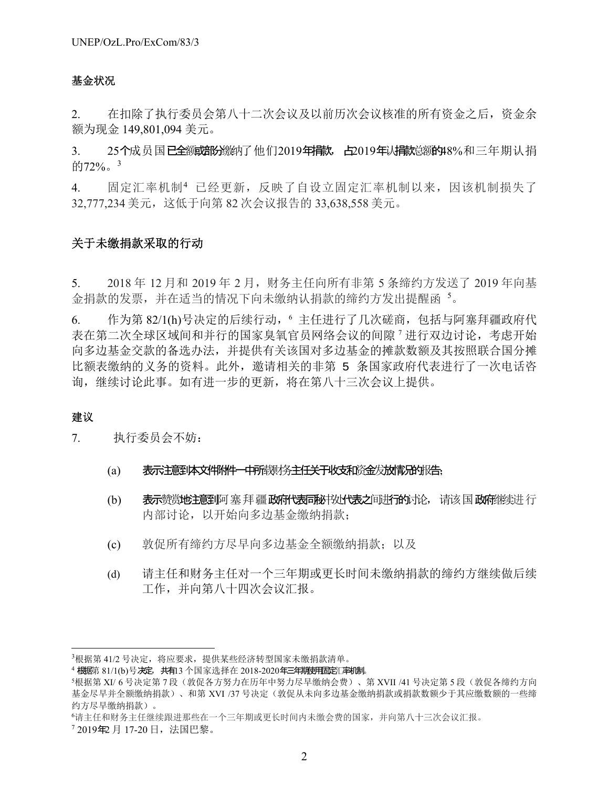### 基金状况

2. 在扣除了执行委员会第八十二次会议及以前历次会议核准的所有资金之后,资金余 额为现金 149,801,094 美元。

3. 25个成员国已全额端的缴纳了他们2019年捐款, 占2019年以捐款总额的48%和三年期认捐 的72%。<sup>3</sup>

4. 固定汇率机制<sup>4</sup> 已经更新,反映了自设立固定汇率机制以来,因该机制损失了 32,777,234 美元,这低于向第 82 次会议报告的 33,638,558 美元。

### 关于未缴捐款采取的行动

5. 2018 年 12 月和 2019 年 2 月,财务主任向所有非第 5 条缔约方发送了 2019 年向基 金捐款的发票,并在适当的情况下向未缴纳认捐款的缔约方发出提醒函5。

6. 作为第 82/1(h)号决定的后续行动, 6 主任进行了几次磋商, 包括与阿塞拜疆政府代 表在第二次全球区域间和并行的国家臭氧官员网络会议的间隙 7 进行双边讨论,考虑开始 向多边基金交款的备选办法,并提供有关该国对多边基金的摊款数额及其按照联合国分摊 比额表缴纳的义务的资料。此外,邀请相关的非第 5 条国家政府代表进行了一次电话咨 询,继续讨论此事。如有进一步的更新,将在第八十三次会议上提供。

### 建议

-

7. 执行委员会不妨:

- (a) 表示注意到本文件附件一中所载财务主任关于收支和资金发放情况的报告;
- (b) 表示赞赏地注意到阿塞拜疆政府代表同秘书处代表之间讲行的讨论, 请该国政府继续进行 内部讨论,以开始向多边基金缴纳捐款;
- (c) 敦促所有缔约方尽早向多边基金全额缴纳捐款;以及
- (d) 请主任和财务主任对一个三年期或更长时间未缴纳捐款的缔约方继续做后续 工作,并向第八十四次会议汇报。

7 2019年2 月 17-20 日,法国巴黎。

 $^3$ 根据第 41/2 号决定,将应要求,提供某些经济转型国家未缴捐款清单。

<sup>4</sup> 根据第 81/1(b)号决定, 共有13 个国家选择在 2018-2020年三年期使用固定汇率机制。

<sup>5</sup>根据第 XI/ 6 号决定第 7 段(敦促各方努力在历年中努力尽早缴纳会费)、第 XVII /41 号决定第 5 段(敦促各缔约方向 基金尽早并全额缴纳捐款)、和第 XVI /37 号决定(敦促从未向多边基金缴纳捐款或捐款数额少于其应缴数额的一些缔 约方尽早缴纳捐款)。

<sup>6</sup>请主任和财务主任继续跟进那些在一个三年期或更长时间内未缴会费的国家,并向第八十三次会议汇报。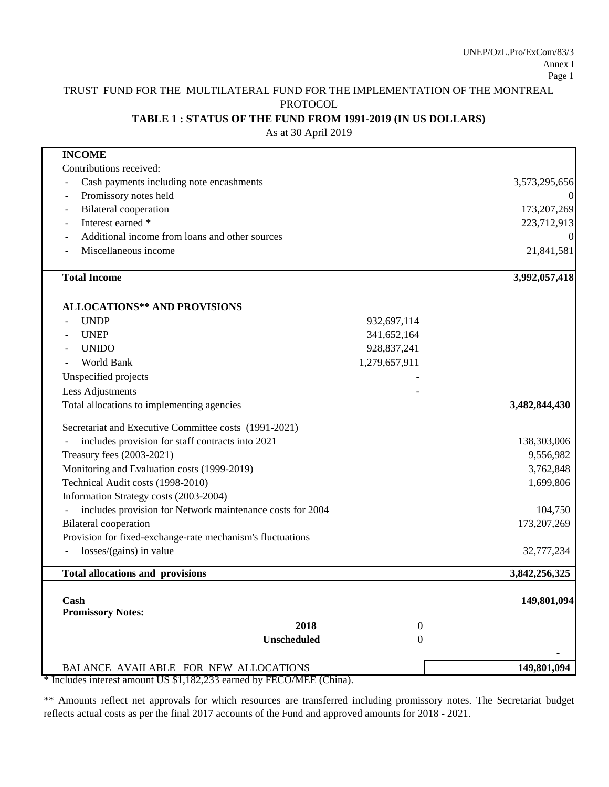# TRUST FUND FOR THE MULTILATERAL FUND FOR THE IMPLEMENTATION OF THE MONTREAL PROTOCOL

### **TABLE 1 : STATUS OF THE FUND FROM 1991-2019 (IN US DOLLARS)**

As at 30 April 2019

| <b>INCOME</b>                                              |               |
|------------------------------------------------------------|---------------|
| Contributions received:                                    |               |
| Cash payments including note encashments                   | 3,573,295,656 |
| Promissory notes held                                      |               |
| <b>Bilateral</b> cooperation<br>$\qquad \qquad$            | 173,207,269   |
| Interest earned *<br>$\overline{a}$                        | 223,712,913   |
| Additional income from loans and other sources             |               |
| Miscellaneous income                                       | 21,841,581    |
| <b>Total Income</b>                                        | 3,992,057,418 |
| <b>ALLOCATIONS** AND PROVISIONS</b>                        |               |
| <b>UNDP</b><br>932,697,114                                 |               |
| <b>UNEP</b><br>341,652,164                                 |               |
| 928, 837, 241<br><b>UNIDO</b>                              |               |
| 1,279,657,911<br><b>World Bank</b>                         |               |
|                                                            |               |
| Unspecified projects                                       |               |
| Less Adjustments                                           |               |
| Total allocations to implementing agencies                 | 3,482,844,430 |
| Secretariat and Executive Committee costs (1991-2021)      |               |
| includes provision for staff contracts into 2021           | 138,303,006   |
| Treasury fees (2003-2021)                                  | 9,556,982     |
| Monitoring and Evaluation costs (1999-2019)                | 3,762,848     |
| Technical Audit costs (1998-2010)                          | 1,699,806     |
| Information Strategy costs (2003-2004)                     |               |
| includes provision for Network maintenance costs for 2004  | 104,750       |
| <b>Bilateral</b> cooperation                               | 173, 207, 269 |
| Provision for fixed-exchange-rate mechanism's fluctuations |               |
| $losses/(gains)$ in value                                  | 32,777,234    |
| <b>Total allocations and provisions</b>                    | 3,842,256,325 |
| Cash                                                       | 149,801,094   |
| <b>Promissory Notes:</b>                                   |               |
| 2018<br>$\boldsymbol{0}$                                   |               |
| Unscheduled<br>0                                           |               |
| BALANCE AVAILABLE FOR NEW ALLOCATIONS                      | 149,801,094   |

\* Includes interest amount US \$1,182,233 earned by FECO/MEE (China).

\*\* Amounts reflect net approvals for which resources are transferred including promissory notes. The Secretariat budget reflects actual costs as per the final 2017 accounts of the Fund and approved amounts for 2018 - 2021.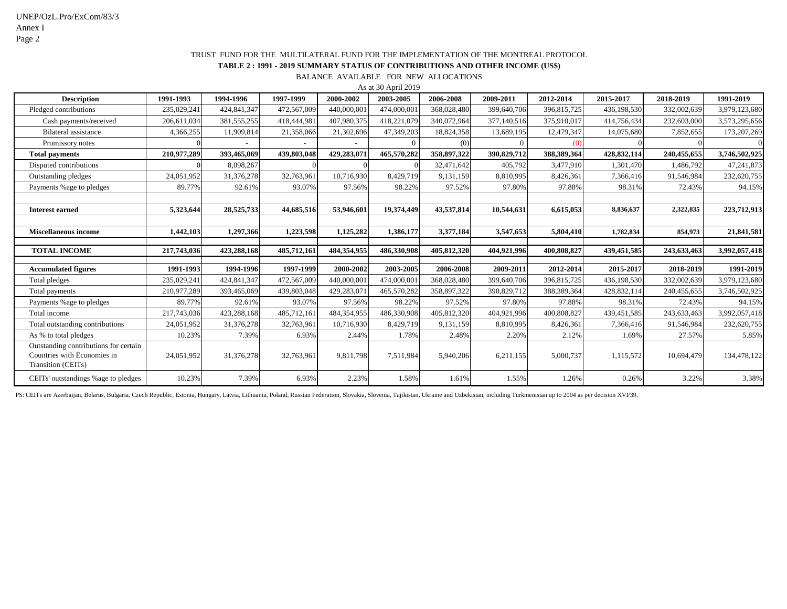|                                                                                            | As at 30 April 2019 |             |             |             |             |             |             |             |             |             |               |
|--------------------------------------------------------------------------------------------|---------------------|-------------|-------------|-------------|-------------|-------------|-------------|-------------|-------------|-------------|---------------|
| <b>Description</b>                                                                         | 1991-1993           | 1994-1996   | 1997-1999   | 2000-2002   | 2003-2005   | 2006-2008   | 2009-2011   | 2012-2014   | 2015-2017   | 2018-2019   | 1991-2019     |
| Pledged contributions                                                                      | 235,029,241         | 424,841,347 | 472,567,009 | 440,000,00  | 474,000,001 | 368,028,480 | 399,640,706 | 396,815,725 | 436,198,530 | 332,002,639 | 3,979,123,680 |
| Cash payments/received                                                                     | 206,611,034         | 381,555,255 | 418,444,981 | 407,980,375 | 418,221,079 | 340,072,964 | 377,140,516 | 375,910,017 | 414,756,434 | 232,603,000 | 3,573,295,656 |
| <b>Bilateral assistance</b>                                                                | 4,366,255           | 11,909,814  | 21,358,066  | 21,302,696  | 47,349,203  | 18,824,358  | 13,689,195  | 12,479,347  | 14,075,680  | 7,852,655   | 173, 207, 269 |
| Promissory notes                                                                           |                     |             |             |             |             | (0)         |             |             |             |             |               |
| <b>Total payments</b>                                                                      | 210,977,289         | 393,465,069 | 439,803,048 | 429,283,071 | 465,570,282 | 358,897,322 | 390,829,712 | 388,389,364 | 428,832,114 | 240,455,655 | 3,746,502,925 |
| Disputed contributions                                                                     |                     | 8,098,267   |             |             |             | 32,471,642  | 405,792     | 3,477,910   | 1,301,470   | 1,486,792   | 47,241,873    |
| Outstanding pledges                                                                        | 24,051,952          | 31,376,278  | 32,763,961  | 10,716,930  | 8,429,719   | 9,131,159   | 8,810,995   | 8,426,361   | 7,366,416   | 91,546,984  | 232,620,755   |
| Payments %age to pledges                                                                   | 89.77%              | 92.61%      | 93.07%      | 97.56%      | 98.22%      | 97.52%      | 97.80%      | 97.88%      | 98.31%      | 72.43%      | 94.15%        |
|                                                                                            |                     |             |             |             |             |             |             |             |             |             |               |
| <b>Interest earned</b>                                                                     | 5,323,644           | 28,525,733  | 44,685,516  | 53,946,601  | 19,374,449  | 43,537,814  | 10,544,631  | 6,615,053   | 8,836,637   | 2,322,835   | 223,712,913   |
|                                                                                            |                     |             |             |             |             |             |             |             |             |             |               |
| <b>Miscellaneous income</b>                                                                | 1,442,103           | 1,297,366   | 1,223,598   | 1,125,282   | 1,386,177   | 3,377,184   | 3,547,653   | 5,804,410   | 1,782,834   | 854,973     | 21,841,581    |
|                                                                                            |                     |             |             |             |             |             |             |             |             |             |               |
| <b>TOTAL INCOME</b>                                                                        | 217,743,036         | 423,288,168 | 485,712,161 | 484,354,955 | 486,330,908 | 405,812,320 | 404,921,996 | 400,808,827 | 439,451,585 | 243,633,463 | 3,992,057,418 |
| <b>Accumulated figures</b>                                                                 | 1991-1993           | 1994-1996   | 1997-1999   | 2000-2002   | 2003-2005   | 2006-2008   | 2009-2011   | 2012-2014   | 2015-2017   | 2018-2019   | 1991-2019     |
| Total pledges                                                                              | 235,029,241         | 424,841,347 | 472,567,009 | 440,000,001 | 474,000,001 | 368,028,480 | 399,640,706 | 396,815,725 | 436,198,530 | 332,002,639 | 3,979,123,680 |
| Total payments                                                                             | 210,977,289         | 393,465,069 | 439,803,048 | 429,283,07  | 465,570,282 | 358,897,322 | 390,829,712 | 388,389,364 | 428,832,114 | 240,455,655 | 3,746,502,925 |
| Payments %age to pledges                                                                   | 89.77%              | 92.61%      | 93.07%      | 97.56%      | 98.22%      | 97.52%      | 97.80%      | 97.88%      | 98.31%      | 72.43%      | 94.15%        |
| Total income                                                                               | 217,743,036         | 423,288,168 | 485,712,161 | 484,354,955 | 486,330,908 | 405,812,320 | 404,921,996 | 400,808,827 | 439,451,585 | 243,633,463 | 3,992,057,418 |
| Total outstanding contributions                                                            | 24,051,952          | 31,376,278  | 32,763,961  | 10,716,930  | 8,429,719   | 9,131,159   | 8,810,995   | 8,426,361   | 7,366,416   | 91,546,984  | 232,620,755   |
| As % to total pledges                                                                      | 10.23%              | 7.39%       | 6.93%       | 2.44%       | 1.78%       | 2.48%       | 2.20%       | 2.12%       | 1.69%       | 27.57%      | 5.85%         |
| Outstanding contributions for certain<br>Countries with Economies in<br>Transition (CEITs) | 24,051,952          | 31,376,278  | 32,763,961  | 9,811,798   | 7,511,984   | 5,940,206   | 6,211,155   | 5,000,737   | 1,115,572   | 10,694,479  | 134,478,122   |
| CEITs' outstandings % age to pledges                                                       | 10.23%              | 7.39%       | 6.93%       | 2.23%       | 1.58%       | 1.61%       | 1.55%       | 1.26%       | 0.26%       | 3.22%       | 3.38%         |

PS: CEITs are Azerbaijan, Belarus, Bulgaria, Czech Republic, Estonia, Hungary, Latvia, Lithuania, Poland, Russian Federation, Slovakia, Slovenia, Tajikistan, Ukraine and Uzbekistan, including Turkmenistan up to 2004 as per

BALANCE AVAILABLE FOR NEW ALLOCATIONS

# **TABLE 2 : 1991 - 2019 SUMMARY STATUS OF CONTRIBUTIONS AND OTHER INCOME (US\$)** TRUST FUND FOR THE MULTILATERAL FUND FOR THE IMPLEMENTATION OF THE MONTREAL PROTOCOL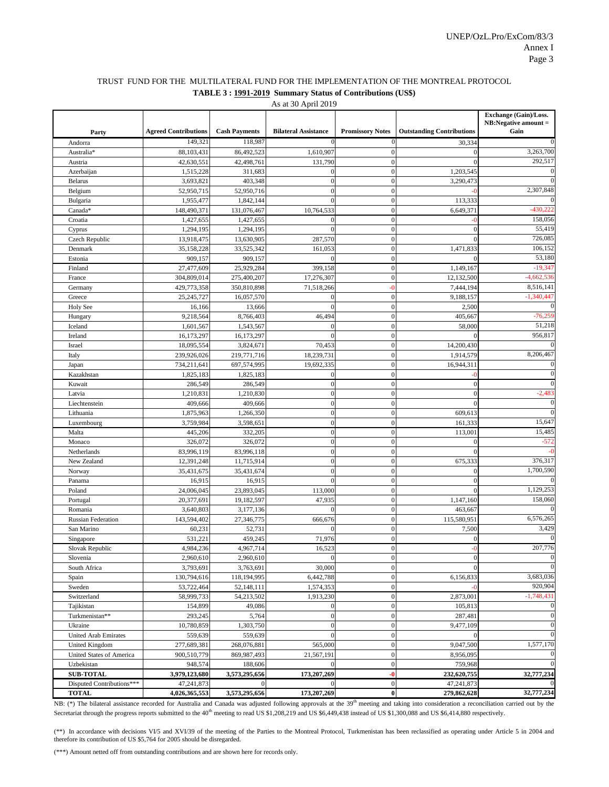|                                 |                             |                         |                             |                         |                                  | <b>Exchange (Gain)/Loss.</b> |
|---------------------------------|-----------------------------|-------------------------|-----------------------------|-------------------------|----------------------------------|------------------------------|
|                                 |                             |                         |                             |                         |                                  | $NB: Negative amount =$      |
| Party                           | <b>Agreed Contributions</b> | <b>Cash Payments</b>    | <b>Bilateral Assistance</b> | <b>Promissory Notes</b> | <b>Outstanding Contributions</b> | Gain                         |
| Andorra                         | 149,321                     | 118,987                 | $\Omega$                    |                         | 30,334                           |                              |
| Australia*                      | 88,103,431                  | 86,492,523              | 1,610,907                   | $\Omega$                |                                  | 3,263,700                    |
| Austria                         | 42,630,551                  | 42,498,761              | 131,790                     | $\Omega$                |                                  | 292,517                      |
| Azerbaijan                      | 1,515,228                   | 311,683                 |                             |                         | 1,203,545                        |                              |
| <b>Belarus</b>                  | 3,693,821                   | 403,348                 | $\Omega$                    |                         | 3,290,473                        |                              |
| Belgium                         | 52,950,715                  | 52,950,716              | $\mathcal{L}$               |                         |                                  | 2,307,848                    |
| Bulgaria                        | 1,955,477                   | 1,842,144               | $\Omega$                    | $\Omega$                | 113,333                          | $\Omega$                     |
| Canada*                         | 148,490,371                 | 131,076,467             | 10,764,533                  |                         | 6,649,371                        | $-430,222$                   |
| Croatia                         | 1,427,655                   | 1,427,655               |                             |                         |                                  | 158,056                      |
| Cyprus                          | 1,294,195                   | 1,294,195               |                             |                         |                                  | 55,419                       |
| Czech Republic                  | 13,918,475                  | 13,630,905              | 287,570                     | 0                       |                                  | 726,085<br>106,152           |
| Denmark                         | 35,158,228                  | 33,525,342              | 161,053                     | $\Omega$                | 1,471,833                        | 53,180                       |
| Estonia                         | 909,157                     | 909,157                 | $\Omega$                    | $\Omega$                |                                  | $-19,347$                    |
| Finland                         | 27,477,609                  | 25,929,284              | 399,158                     | $\Omega$                | 1,149,167                        | $-4,662,536$                 |
| France                          | 304,809,014                 | 275,400,207             | 17,276,307                  | $\Omega$                | 12,132,500                       | 8,516,141                    |
| Germany                         | 429,773,358                 | 350,810,898             | 71,518,266                  | -በ                      | 7,444,194                        | $-1,340,447$                 |
| Greece                          | 25, 245, 727                | 16,057,570              |                             |                         | 9,188,157                        | $\Omega$                     |
| <b>Holy See</b>                 | 16,166                      | 13,666                  | $\Omega$                    | $\Omega$<br>$\Omega$    | 2,500                            | $-76,259$                    |
| Hungary<br>Iceland              | 9,218,564                   | 8,766,403               | 46,494<br>$\Omega$          | $\Omega$                | 405,667                          | 51,218                       |
|                                 | 1,601,567                   | 1,543,567               | 0                           | $\Omega$                | 58,000                           | 956,817                      |
| Ireland                         | 16,173,297<br>18,095,554    | 16,173,297<br>3,824,671 | 70,453                      | $\Omega$                | 14,200,430                       | ∩                            |
| <b>Israel</b><br>Italy          | 239,926,026                 | 219,771,716             | 18,239,731                  | $\Omega$                | 1,914,579                        | 8,206,467                    |
|                                 | 734,211,641                 | 697,574,995             | 19,692,335                  |                         | 16,944,311                       | $\Omega$                     |
| Japan<br>Kazakhstan             | 1,825,183                   | 1,825,183               |                             | $\Omega$                |                                  |                              |
| Kuwait                          | 286,549                     | 286,549                 | 0                           |                         |                                  | $\Omega$                     |
| Latvia                          | 1,210,831                   | 1,210,830               | $\Omega$                    |                         |                                  | $-2,483$                     |
| Liechtenstein                   | 409,666                     | 409,666                 |                             |                         |                                  | $\Omega$                     |
| Lithuania                       | 1,875,963                   | 1,266,350               | $\Omega$                    |                         | 609,613                          | $\Omega$                     |
| Luxembourg                      | 3,759,984                   | 3,598,651               |                             |                         | 161,333                          | 15,647                       |
| Malta                           | 445,206                     | 332,205                 | 0                           |                         | 113,001                          | 15,485                       |
| Monaco                          | 326,072                     | 326,072                 |                             |                         |                                  | $-572$                       |
| Netherlands                     | 83,996,119                  | 83,996,118              |                             |                         |                                  | -0                           |
| New Zealand                     | 12,391,248                  | 11,715,914              |                             |                         | 675,333                          | 376,317                      |
| Norway                          | 35,431,675                  | 35,431,674              |                             |                         |                                  | 1,700,590                    |
| Panama                          | 16,915                      | 16,915                  |                             |                         |                                  |                              |
| Poland                          | 24,006,045                  | 23,893,045              | 113,000                     |                         |                                  | 1,129,253                    |
| Portugal                        | 20,377,691                  | 19,182,597              | 47,935                      |                         | 1,147,160                        | 158,060                      |
| Romania                         | 3,640,803                   | 3,177,136               |                             |                         | 463,667                          |                              |
| <b>Russian Federation</b>       | 143,594,402                 | 27,346,775              | 666,676                     |                         | 115,580,951                      | 6,576,265                    |
| San Marino                      | 60,231                      | 52,731                  |                             |                         | 7,500                            | 3,429                        |
| Singapore                       | 531,221                     | 459,245                 | 71,976                      |                         |                                  |                              |
| Slovak Republic                 | 4,984,236                   | 4,967,714               | 16,523                      |                         |                                  | 207,776                      |
| Slovenia                        | 2,960,610                   | 2,960,610               |                             |                         |                                  |                              |
| South Africa                    | 3,793,691                   | 3,763,691               | 30,000                      |                         |                                  |                              |
| Spain                           | 130,794,616                 | 118,194,995             | 6,442,788                   |                         | 6,156,833                        | 3,683,036                    |
| Sweden                          | 53,722,464                  | 52,148,111              | 1,574,353                   |                         |                                  | 920,904                      |
| Switzerland                     | 58,999,733                  | 54,213,502              | 1,913,230                   |                         | 2,873,001                        | $-1,748,431$                 |
| Tajikistan                      | 154,899                     | 49,086                  |                             |                         | 105,813                          |                              |
| Turkmenistan**                  | 293,245                     | 5,764                   |                             |                         | 287,481                          |                              |
| Ukraine                         | 10,780,859                  | 1,303,750               |                             |                         | 9,477,109                        |                              |
| <b>United Arab Emirates</b>     | 559,639                     | 559,639                 |                             |                         |                                  |                              |
| <b>United Kingdom</b>           | 277,689,381                 | 268,076,881             | 565,000                     | $\Omega$                | 9,047,500                        | 1,577,170                    |
| <b>United States of America</b> | 900,510,779                 | 869,987,493             | 21,567,191                  |                         | 8,956,095                        |                              |
| Uzbekistan                      | 948,574                     | 188,606                 |                             | $\Omega$                | 759,968                          |                              |
| <b>SUB-TOTAL</b>                | 3,979,123,680               | 3,573,295,656           | 173,207,269                 |                         | 232,620,755                      | 32,777,234                   |
| Disputed Contributions***       | 47,241,873                  |                         |                             | $\Omega$                | 47, 241, 873                     |                              |
| <b>TOTAL</b>                    | 4,026,365,553               | 3,573,295,656           | 173,207,269                 | $\boldsymbol{0}$        | 279,862,628                      | 32,777,234                   |

NB: (\*) The bilateral assistance recorded for Australia and Canada was adjusted following approvals at the 39<sup>th</sup> meeting and taking into consideration a reconciliation carried out by the Secretariat through the progress reports submitted to the 40<sup>th</sup> meeting to read US \$1,208,219 and US \$6,449,438 instead of US \$1,300,088 and US \$6,414,880 respectively.

(\*\*) In accordance with decisions VI/5 and XVI/39 of the meeting of the Parties to the Montreal Protocol, Turkmenistan has been reclassified as operating under Article 5 in 2004 and therefore its contribution of US \$5,764 for 2005 should be disregarded.

(\*\*\*) Amount netted off from outstanding contributions and are shown here for records only.

# TRUST FUND FOR THE MULTILATERAL FUND FOR THE IMPLEMENTATION OF THE MONTREAL PROTOCOL **TABLE 3 : 1991-2019 Summary Status of Contributions (US\$)**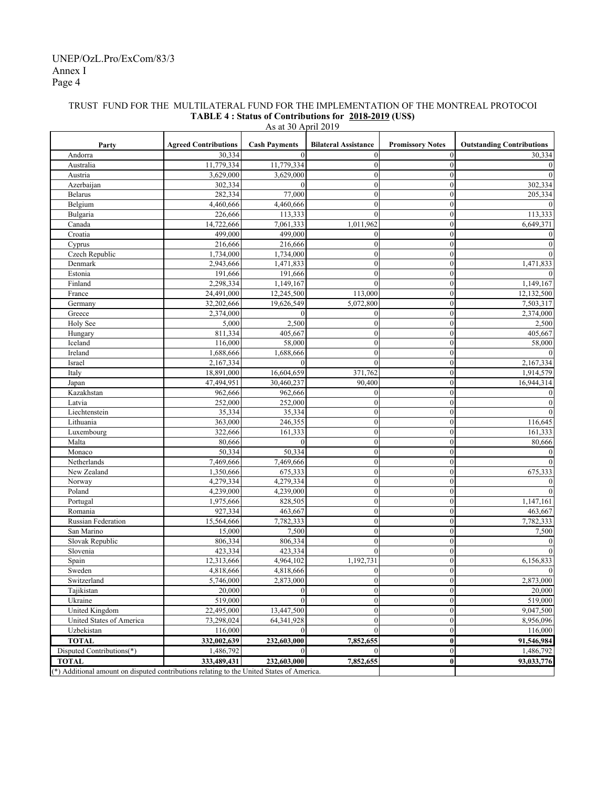### Annex I Page 4 UNEP/OzL.Pro/ExCom/83/3

| <b>Agreed Contributions</b><br><b>Cash Payments</b><br><b>Promissory Notes</b><br><b>Outstanding Contributions</b><br>Party<br><b>Bilateral Assistance</b><br>$\theta$<br>Andorra<br>30,334<br>$\boldsymbol{0}$<br>$\mathbf{0}$<br>11,779,334<br>$\boldsymbol{0}$<br>$\theta$<br>Australia<br>11,779,334<br>Austria<br>3,629,000<br>3,629,000<br>$\boldsymbol{0}$<br>$\theta$<br>302,334<br>$\boldsymbol{0}$<br>Azerbaijan<br>$\mathbf{0}$<br>$\mathbf{0}$<br>$\boldsymbol{0}$<br>Belarus<br>282,334<br>77,000<br>$\mathbf{0}$<br>$\boldsymbol{0}$<br>4,460,666<br>4,460,666<br>$\mathbf{0}$<br>Belgium<br>226,666<br>$\mathbf{0}$<br>$\mathbf{0}$<br>Bulgaria<br>113,333<br>Canada<br>14,722,666<br>7,061,333<br>1,011,962<br>$\mathbf{0}$<br>Croatia<br>499,000<br>499,000<br>$\mathbf{0}$<br>$\boldsymbol{0}$<br>216,666<br>216,666<br>$\mathbf{0}$<br>$\mathbf{0}$<br>Cyprus<br>Czech Republic<br>$\boldsymbol{0}$<br>$\mathbf{0}$<br>1,734,000<br>1,734,000<br>2,943,666<br>1,471,833<br>$\boldsymbol{0}$<br>$\mathbf{0}$<br>Denmark<br>191,666<br>191,666<br>$\mathbf{0}$<br>$\mathbf{0}$<br>Estonia<br>$\mathbf{0}$<br>Finland<br>2,298,334<br>1,149,167<br>$\mathbf{0}$<br>24,491,000<br>12,245,500<br>$\mathbf{0}$<br>France<br>113,000<br>32,202,666<br>19,626,549<br>5,072,800<br>$\mathbf{0}$<br>7,503,317<br>Germany<br>Greece<br>$\mathbf{0}$<br>2,374,000<br>2,374,000<br>$\mathbf{0}$<br>$\boldsymbol{0}$<br>5,000<br>2,500<br>$\boldsymbol{0}$<br>$\overline{0}$<br>Holy See<br>2,500<br>811.334<br>405,667<br>405,667<br>$\boldsymbol{0}$<br>$\mathbf{0}$<br>Hungary<br>$\boldsymbol{0}$<br>$\overline{0}$<br>Iceland<br>116,000<br>58,000<br>58,000<br>$\boldsymbol{0}$<br>$\overline{0}$<br>Ireland<br>1,688,666<br>1.688.666<br>2,167,334<br>$\mathbf{0}$<br>$\mathbf{0}$<br>Israel<br>$\mathbf{0}$<br>2,167,334<br>Italy<br>16,604,659<br>371,762<br>$\overline{0}$<br>18,891,000<br>1,914,579<br>47,494,951<br>$\overline{0}$<br>30,460,237<br>90,400<br>16,944,314<br>Japan<br>Kazakhstan<br>$\mathbf{0}$<br>962,666<br>962,666<br>$\boldsymbol{0}$<br>Latvia<br>252,000<br>$\boldsymbol{0}$<br>$\mathbf{0}$<br>252,000<br>$\boldsymbol{0}$<br>$\overline{0}$<br>Liechtenstein<br>35,334<br>35,334<br>Lithuania<br>246,355<br>$\boldsymbol{0}$<br>$\mathbf{0}$<br>116,645<br>363,000<br>$\boldsymbol{0}$<br>Luxembourg<br>322,666<br>$\overline{0}$<br>161,333<br>161,333<br>$\boldsymbol{0}$<br>Malta<br>80,666<br>$\theta$<br>$\mathbf{0}$<br>80,666<br>50,334<br>50,334<br>$\boldsymbol{0}$<br>$\mathbf{0}$<br>Monaco<br>7,469,666<br>7,469,666<br>$\boldsymbol{0}$<br>$\mathbf{0}$<br>Netherlands<br>675,333<br>New Zealand<br>1,350,666<br>675,333<br>$\boldsymbol{0}$<br>$\mathbf{0}$<br>$\boldsymbol{0}$<br>Norway<br>4,279,334<br>4,279,334<br>$\mathbf{0}$<br>$\boldsymbol{0}$<br>Poland<br>4,239,000<br>4,239,000<br>$\mathbf{0}$<br>1,975,666<br>$\boldsymbol{0}$<br>1,147,161<br>828,505<br>$\mathbf{0}$<br>Portugal<br>Romania<br>$\boldsymbol{0}$<br>$\boldsymbol{0}$<br>927,334<br>463,667<br>463,667<br>$\boldsymbol{0}$<br>Russian Federation<br>7,782,333<br>$\mathbf{0}$<br>7,782,333<br>15,564,666<br>$\boldsymbol{0}$<br>15,000<br>7,500<br>$\mathbf{0}$<br>7,500<br>San Marino<br>806,334<br>$\boldsymbol{0}$<br>$\boldsymbol{0}$<br>Slovak Republic<br>806,334<br>Slovenia<br>423,334<br>423,334<br>$\mathbf{0}$<br>$\mathbf{0}$<br>12,313,666<br>4,964,102<br>1,192,731<br>$\mathbf{0}$<br>6,156,833<br>Spain<br>$\overline{0}$<br>Sweden<br>4,818,666<br>4,818,666<br>$\overline{0}$<br>Switzerland<br>5,746,000<br>2,873,000<br>$\boldsymbol{0}$<br>$\boldsymbol{0}$<br>2,873,000<br>$\boldsymbol{0}$<br>$\overline{0}$<br>Tajikistan<br>20,000<br>$\mathbf{0}$<br>20,000<br>$\boldsymbol{0}$<br>519,000<br>$\boldsymbol{0}$<br>519,000<br>Ukraine<br>$\mathbf{0}$<br>$\boldsymbol{0}$<br>9,047,500<br>United Kingdom<br>22,495,000<br>13,447,500<br>$\mathbf{0}$<br>United States of America<br>73,298,024<br>$\boldsymbol{0}$<br>$\boldsymbol{0}$<br>8,956,096<br>64, 341, 928<br>$\boldsymbol{0}$<br>$\boldsymbol{0}$<br>Uzbekistan<br>116,000<br>$\mathbf{0}$<br>116,000<br><b>TOTAL</b><br>232,603,000<br>7,852,655<br>$\bf{0}$<br>332,002,639<br>91,546,984<br>Disputed Contributions(*)<br>1,486,792<br>$\boldsymbol{0}$<br>1,486,792<br>$\Omega$<br>$\theta$<br>232,603,000<br><b>TOTAL</b><br>333,489,431<br>7,852,655<br>$\bf{0}$<br>93,033,776<br>(*) Additional amount on disputed contributions relating to the United States of America. |  | $113$ at JV TypIII 2017 |  |                  |
|----------------------------------------------------------------------------------------------------------------------------------------------------------------------------------------------------------------------------------------------------------------------------------------------------------------------------------------------------------------------------------------------------------------------------------------------------------------------------------------------------------------------------------------------------------------------------------------------------------------------------------------------------------------------------------------------------------------------------------------------------------------------------------------------------------------------------------------------------------------------------------------------------------------------------------------------------------------------------------------------------------------------------------------------------------------------------------------------------------------------------------------------------------------------------------------------------------------------------------------------------------------------------------------------------------------------------------------------------------------------------------------------------------------------------------------------------------------------------------------------------------------------------------------------------------------------------------------------------------------------------------------------------------------------------------------------------------------------------------------------------------------------------------------------------------------------------------------------------------------------------------------------------------------------------------------------------------------------------------------------------------------------------------------------------------------------------------------------------------------------------------------------------------------------------------------------------------------------------------------------------------------------------------------------------------------------------------------------------------------------------------------------------------------------------------------------------------------------------------------------------------------------------------------------------------------------------------------------------------------------------------------------------------------------------------------------------------------------------------------------------------------------------------------------------------------------------------------------------------------------------------------------------------------------------------------------------------------------------------------------------------------------------------------------------------------------------------------------------------------------------------------------------------------------------------------------------------------------------------------------------------------------------------------------------------------------------------------------------------------------------------------------------------------------------------------------------------------------------------------------------------------------------------------------------------------------------------------------------------------------------------------------------------------------------------------------------------------------------------------------------------------------------------------------------------------------------------------------------------------------------------------------------------------------------------------------------------------------------------------------------------------------------------------------------------------------------------------------------------------------------------------------------------------------------------------------------------------------------------------------------------------------------------------------------------------------------------------------------------------------------------------------------------------------------------------------------------------------------------------------------------|--|-------------------------|--|------------------|
|                                                                                                                                                                                                                                                                                                                                                                                                                                                                                                                                                                                                                                                                                                                                                                                                                                                                                                                                                                                                                                                                                                                                                                                                                                                                                                                                                                                                                                                                                                                                                                                                                                                                                                                                                                                                                                                                                                                                                                                                                                                                                                                                                                                                                                                                                                                                                                                                                                                                                                                                                                                                                                                                                                                                                                                                                                                                                                                                                                                                                                                                                                                                                                                                                                                                                                                                                                                                                                                                                                                                                                                                                                                                                                                                                                                                                                                                                                                                                                                                                                                                                                                                                                                                                                                                                                                                                                                                                                                                                                          |  |                         |  |                  |
|                                                                                                                                                                                                                                                                                                                                                                                                                                                                                                                                                                                                                                                                                                                                                                                                                                                                                                                                                                                                                                                                                                                                                                                                                                                                                                                                                                                                                                                                                                                                                                                                                                                                                                                                                                                                                                                                                                                                                                                                                                                                                                                                                                                                                                                                                                                                                                                                                                                                                                                                                                                                                                                                                                                                                                                                                                                                                                                                                                                                                                                                                                                                                                                                                                                                                                                                                                                                                                                                                                                                                                                                                                                                                                                                                                                                                                                                                                                                                                                                                                                                                                                                                                                                                                                                                                                                                                                                                                                                                                          |  |                         |  | 30,334           |
|                                                                                                                                                                                                                                                                                                                                                                                                                                                                                                                                                                                                                                                                                                                                                                                                                                                                                                                                                                                                                                                                                                                                                                                                                                                                                                                                                                                                                                                                                                                                                                                                                                                                                                                                                                                                                                                                                                                                                                                                                                                                                                                                                                                                                                                                                                                                                                                                                                                                                                                                                                                                                                                                                                                                                                                                                                                                                                                                                                                                                                                                                                                                                                                                                                                                                                                                                                                                                                                                                                                                                                                                                                                                                                                                                                                                                                                                                                                                                                                                                                                                                                                                                                                                                                                                                                                                                                                                                                                                                                          |  |                         |  | $\mathbf{0}$     |
|                                                                                                                                                                                                                                                                                                                                                                                                                                                                                                                                                                                                                                                                                                                                                                                                                                                                                                                                                                                                                                                                                                                                                                                                                                                                                                                                                                                                                                                                                                                                                                                                                                                                                                                                                                                                                                                                                                                                                                                                                                                                                                                                                                                                                                                                                                                                                                                                                                                                                                                                                                                                                                                                                                                                                                                                                                                                                                                                                                                                                                                                                                                                                                                                                                                                                                                                                                                                                                                                                                                                                                                                                                                                                                                                                                                                                                                                                                                                                                                                                                                                                                                                                                                                                                                                                                                                                                                                                                                                                                          |  |                         |  | $\mathbf{0}$     |
|                                                                                                                                                                                                                                                                                                                                                                                                                                                                                                                                                                                                                                                                                                                                                                                                                                                                                                                                                                                                                                                                                                                                                                                                                                                                                                                                                                                                                                                                                                                                                                                                                                                                                                                                                                                                                                                                                                                                                                                                                                                                                                                                                                                                                                                                                                                                                                                                                                                                                                                                                                                                                                                                                                                                                                                                                                                                                                                                                                                                                                                                                                                                                                                                                                                                                                                                                                                                                                                                                                                                                                                                                                                                                                                                                                                                                                                                                                                                                                                                                                                                                                                                                                                                                                                                                                                                                                                                                                                                                                          |  |                         |  | 302,334          |
|                                                                                                                                                                                                                                                                                                                                                                                                                                                                                                                                                                                                                                                                                                                                                                                                                                                                                                                                                                                                                                                                                                                                                                                                                                                                                                                                                                                                                                                                                                                                                                                                                                                                                                                                                                                                                                                                                                                                                                                                                                                                                                                                                                                                                                                                                                                                                                                                                                                                                                                                                                                                                                                                                                                                                                                                                                                                                                                                                                                                                                                                                                                                                                                                                                                                                                                                                                                                                                                                                                                                                                                                                                                                                                                                                                                                                                                                                                                                                                                                                                                                                                                                                                                                                                                                                                                                                                                                                                                                                                          |  |                         |  | 205,334          |
|                                                                                                                                                                                                                                                                                                                                                                                                                                                                                                                                                                                                                                                                                                                                                                                                                                                                                                                                                                                                                                                                                                                                                                                                                                                                                                                                                                                                                                                                                                                                                                                                                                                                                                                                                                                                                                                                                                                                                                                                                                                                                                                                                                                                                                                                                                                                                                                                                                                                                                                                                                                                                                                                                                                                                                                                                                                                                                                                                                                                                                                                                                                                                                                                                                                                                                                                                                                                                                                                                                                                                                                                                                                                                                                                                                                                                                                                                                                                                                                                                                                                                                                                                                                                                                                                                                                                                                                                                                                                                                          |  |                         |  | $\mathbf{0}$     |
|                                                                                                                                                                                                                                                                                                                                                                                                                                                                                                                                                                                                                                                                                                                                                                                                                                                                                                                                                                                                                                                                                                                                                                                                                                                                                                                                                                                                                                                                                                                                                                                                                                                                                                                                                                                                                                                                                                                                                                                                                                                                                                                                                                                                                                                                                                                                                                                                                                                                                                                                                                                                                                                                                                                                                                                                                                                                                                                                                                                                                                                                                                                                                                                                                                                                                                                                                                                                                                                                                                                                                                                                                                                                                                                                                                                                                                                                                                                                                                                                                                                                                                                                                                                                                                                                                                                                                                                                                                                                                                          |  |                         |  | 113,333          |
|                                                                                                                                                                                                                                                                                                                                                                                                                                                                                                                                                                                                                                                                                                                                                                                                                                                                                                                                                                                                                                                                                                                                                                                                                                                                                                                                                                                                                                                                                                                                                                                                                                                                                                                                                                                                                                                                                                                                                                                                                                                                                                                                                                                                                                                                                                                                                                                                                                                                                                                                                                                                                                                                                                                                                                                                                                                                                                                                                                                                                                                                                                                                                                                                                                                                                                                                                                                                                                                                                                                                                                                                                                                                                                                                                                                                                                                                                                                                                                                                                                                                                                                                                                                                                                                                                                                                                                                                                                                                                                          |  |                         |  | 6,649,371        |
|                                                                                                                                                                                                                                                                                                                                                                                                                                                                                                                                                                                                                                                                                                                                                                                                                                                                                                                                                                                                                                                                                                                                                                                                                                                                                                                                                                                                                                                                                                                                                                                                                                                                                                                                                                                                                                                                                                                                                                                                                                                                                                                                                                                                                                                                                                                                                                                                                                                                                                                                                                                                                                                                                                                                                                                                                                                                                                                                                                                                                                                                                                                                                                                                                                                                                                                                                                                                                                                                                                                                                                                                                                                                                                                                                                                                                                                                                                                                                                                                                                                                                                                                                                                                                                                                                                                                                                                                                                                                                                          |  |                         |  | $\boldsymbol{0}$ |
|                                                                                                                                                                                                                                                                                                                                                                                                                                                                                                                                                                                                                                                                                                                                                                                                                                                                                                                                                                                                                                                                                                                                                                                                                                                                                                                                                                                                                                                                                                                                                                                                                                                                                                                                                                                                                                                                                                                                                                                                                                                                                                                                                                                                                                                                                                                                                                                                                                                                                                                                                                                                                                                                                                                                                                                                                                                                                                                                                                                                                                                                                                                                                                                                                                                                                                                                                                                                                                                                                                                                                                                                                                                                                                                                                                                                                                                                                                                                                                                                                                                                                                                                                                                                                                                                                                                                                                                                                                                                                                          |  |                         |  | $\mathbf{0}$     |
|                                                                                                                                                                                                                                                                                                                                                                                                                                                                                                                                                                                                                                                                                                                                                                                                                                                                                                                                                                                                                                                                                                                                                                                                                                                                                                                                                                                                                                                                                                                                                                                                                                                                                                                                                                                                                                                                                                                                                                                                                                                                                                                                                                                                                                                                                                                                                                                                                                                                                                                                                                                                                                                                                                                                                                                                                                                                                                                                                                                                                                                                                                                                                                                                                                                                                                                                                                                                                                                                                                                                                                                                                                                                                                                                                                                                                                                                                                                                                                                                                                                                                                                                                                                                                                                                                                                                                                                                                                                                                                          |  |                         |  | $\mathbf{0}$     |
|                                                                                                                                                                                                                                                                                                                                                                                                                                                                                                                                                                                                                                                                                                                                                                                                                                                                                                                                                                                                                                                                                                                                                                                                                                                                                                                                                                                                                                                                                                                                                                                                                                                                                                                                                                                                                                                                                                                                                                                                                                                                                                                                                                                                                                                                                                                                                                                                                                                                                                                                                                                                                                                                                                                                                                                                                                                                                                                                                                                                                                                                                                                                                                                                                                                                                                                                                                                                                                                                                                                                                                                                                                                                                                                                                                                                                                                                                                                                                                                                                                                                                                                                                                                                                                                                                                                                                                                                                                                                                                          |  |                         |  | 1,471,833        |
|                                                                                                                                                                                                                                                                                                                                                                                                                                                                                                                                                                                                                                                                                                                                                                                                                                                                                                                                                                                                                                                                                                                                                                                                                                                                                                                                                                                                                                                                                                                                                                                                                                                                                                                                                                                                                                                                                                                                                                                                                                                                                                                                                                                                                                                                                                                                                                                                                                                                                                                                                                                                                                                                                                                                                                                                                                                                                                                                                                                                                                                                                                                                                                                                                                                                                                                                                                                                                                                                                                                                                                                                                                                                                                                                                                                                                                                                                                                                                                                                                                                                                                                                                                                                                                                                                                                                                                                                                                                                                                          |  |                         |  | $\mathbf{0}$     |
|                                                                                                                                                                                                                                                                                                                                                                                                                                                                                                                                                                                                                                                                                                                                                                                                                                                                                                                                                                                                                                                                                                                                                                                                                                                                                                                                                                                                                                                                                                                                                                                                                                                                                                                                                                                                                                                                                                                                                                                                                                                                                                                                                                                                                                                                                                                                                                                                                                                                                                                                                                                                                                                                                                                                                                                                                                                                                                                                                                                                                                                                                                                                                                                                                                                                                                                                                                                                                                                                                                                                                                                                                                                                                                                                                                                                                                                                                                                                                                                                                                                                                                                                                                                                                                                                                                                                                                                                                                                                                                          |  |                         |  | 1,149,167        |
|                                                                                                                                                                                                                                                                                                                                                                                                                                                                                                                                                                                                                                                                                                                                                                                                                                                                                                                                                                                                                                                                                                                                                                                                                                                                                                                                                                                                                                                                                                                                                                                                                                                                                                                                                                                                                                                                                                                                                                                                                                                                                                                                                                                                                                                                                                                                                                                                                                                                                                                                                                                                                                                                                                                                                                                                                                                                                                                                                                                                                                                                                                                                                                                                                                                                                                                                                                                                                                                                                                                                                                                                                                                                                                                                                                                                                                                                                                                                                                                                                                                                                                                                                                                                                                                                                                                                                                                                                                                                                                          |  |                         |  | 12,132,500       |
|                                                                                                                                                                                                                                                                                                                                                                                                                                                                                                                                                                                                                                                                                                                                                                                                                                                                                                                                                                                                                                                                                                                                                                                                                                                                                                                                                                                                                                                                                                                                                                                                                                                                                                                                                                                                                                                                                                                                                                                                                                                                                                                                                                                                                                                                                                                                                                                                                                                                                                                                                                                                                                                                                                                                                                                                                                                                                                                                                                                                                                                                                                                                                                                                                                                                                                                                                                                                                                                                                                                                                                                                                                                                                                                                                                                                                                                                                                                                                                                                                                                                                                                                                                                                                                                                                                                                                                                                                                                                                                          |  |                         |  |                  |
|                                                                                                                                                                                                                                                                                                                                                                                                                                                                                                                                                                                                                                                                                                                                                                                                                                                                                                                                                                                                                                                                                                                                                                                                                                                                                                                                                                                                                                                                                                                                                                                                                                                                                                                                                                                                                                                                                                                                                                                                                                                                                                                                                                                                                                                                                                                                                                                                                                                                                                                                                                                                                                                                                                                                                                                                                                                                                                                                                                                                                                                                                                                                                                                                                                                                                                                                                                                                                                                                                                                                                                                                                                                                                                                                                                                                                                                                                                                                                                                                                                                                                                                                                                                                                                                                                                                                                                                                                                                                                                          |  |                         |  |                  |
|                                                                                                                                                                                                                                                                                                                                                                                                                                                                                                                                                                                                                                                                                                                                                                                                                                                                                                                                                                                                                                                                                                                                                                                                                                                                                                                                                                                                                                                                                                                                                                                                                                                                                                                                                                                                                                                                                                                                                                                                                                                                                                                                                                                                                                                                                                                                                                                                                                                                                                                                                                                                                                                                                                                                                                                                                                                                                                                                                                                                                                                                                                                                                                                                                                                                                                                                                                                                                                                                                                                                                                                                                                                                                                                                                                                                                                                                                                                                                                                                                                                                                                                                                                                                                                                                                                                                                                                                                                                                                                          |  |                         |  |                  |
|                                                                                                                                                                                                                                                                                                                                                                                                                                                                                                                                                                                                                                                                                                                                                                                                                                                                                                                                                                                                                                                                                                                                                                                                                                                                                                                                                                                                                                                                                                                                                                                                                                                                                                                                                                                                                                                                                                                                                                                                                                                                                                                                                                                                                                                                                                                                                                                                                                                                                                                                                                                                                                                                                                                                                                                                                                                                                                                                                                                                                                                                                                                                                                                                                                                                                                                                                                                                                                                                                                                                                                                                                                                                                                                                                                                                                                                                                                                                                                                                                                                                                                                                                                                                                                                                                                                                                                                                                                                                                                          |  |                         |  |                  |
|                                                                                                                                                                                                                                                                                                                                                                                                                                                                                                                                                                                                                                                                                                                                                                                                                                                                                                                                                                                                                                                                                                                                                                                                                                                                                                                                                                                                                                                                                                                                                                                                                                                                                                                                                                                                                                                                                                                                                                                                                                                                                                                                                                                                                                                                                                                                                                                                                                                                                                                                                                                                                                                                                                                                                                                                                                                                                                                                                                                                                                                                                                                                                                                                                                                                                                                                                                                                                                                                                                                                                                                                                                                                                                                                                                                                                                                                                                                                                                                                                                                                                                                                                                                                                                                                                                                                                                                                                                                                                                          |  |                         |  |                  |
|                                                                                                                                                                                                                                                                                                                                                                                                                                                                                                                                                                                                                                                                                                                                                                                                                                                                                                                                                                                                                                                                                                                                                                                                                                                                                                                                                                                                                                                                                                                                                                                                                                                                                                                                                                                                                                                                                                                                                                                                                                                                                                                                                                                                                                                                                                                                                                                                                                                                                                                                                                                                                                                                                                                                                                                                                                                                                                                                                                                                                                                                                                                                                                                                                                                                                                                                                                                                                                                                                                                                                                                                                                                                                                                                                                                                                                                                                                                                                                                                                                                                                                                                                                                                                                                                                                                                                                                                                                                                                                          |  |                         |  | $\mathbf{0}$     |
|                                                                                                                                                                                                                                                                                                                                                                                                                                                                                                                                                                                                                                                                                                                                                                                                                                                                                                                                                                                                                                                                                                                                                                                                                                                                                                                                                                                                                                                                                                                                                                                                                                                                                                                                                                                                                                                                                                                                                                                                                                                                                                                                                                                                                                                                                                                                                                                                                                                                                                                                                                                                                                                                                                                                                                                                                                                                                                                                                                                                                                                                                                                                                                                                                                                                                                                                                                                                                                                                                                                                                                                                                                                                                                                                                                                                                                                                                                                                                                                                                                                                                                                                                                                                                                                                                                                                                                                                                                                                                                          |  |                         |  |                  |
|                                                                                                                                                                                                                                                                                                                                                                                                                                                                                                                                                                                                                                                                                                                                                                                                                                                                                                                                                                                                                                                                                                                                                                                                                                                                                                                                                                                                                                                                                                                                                                                                                                                                                                                                                                                                                                                                                                                                                                                                                                                                                                                                                                                                                                                                                                                                                                                                                                                                                                                                                                                                                                                                                                                                                                                                                                                                                                                                                                                                                                                                                                                                                                                                                                                                                                                                                                                                                                                                                                                                                                                                                                                                                                                                                                                                                                                                                                                                                                                                                                                                                                                                                                                                                                                                                                                                                                                                                                                                                                          |  |                         |  |                  |
|                                                                                                                                                                                                                                                                                                                                                                                                                                                                                                                                                                                                                                                                                                                                                                                                                                                                                                                                                                                                                                                                                                                                                                                                                                                                                                                                                                                                                                                                                                                                                                                                                                                                                                                                                                                                                                                                                                                                                                                                                                                                                                                                                                                                                                                                                                                                                                                                                                                                                                                                                                                                                                                                                                                                                                                                                                                                                                                                                                                                                                                                                                                                                                                                                                                                                                                                                                                                                                                                                                                                                                                                                                                                                                                                                                                                                                                                                                                                                                                                                                                                                                                                                                                                                                                                                                                                                                                                                                                                                                          |  |                         |  |                  |
|                                                                                                                                                                                                                                                                                                                                                                                                                                                                                                                                                                                                                                                                                                                                                                                                                                                                                                                                                                                                                                                                                                                                                                                                                                                                                                                                                                                                                                                                                                                                                                                                                                                                                                                                                                                                                                                                                                                                                                                                                                                                                                                                                                                                                                                                                                                                                                                                                                                                                                                                                                                                                                                                                                                                                                                                                                                                                                                                                                                                                                                                                                                                                                                                                                                                                                                                                                                                                                                                                                                                                                                                                                                                                                                                                                                                                                                                                                                                                                                                                                                                                                                                                                                                                                                                                                                                                                                                                                                                                                          |  |                         |  | $\mathbf{0}$     |
|                                                                                                                                                                                                                                                                                                                                                                                                                                                                                                                                                                                                                                                                                                                                                                                                                                                                                                                                                                                                                                                                                                                                                                                                                                                                                                                                                                                                                                                                                                                                                                                                                                                                                                                                                                                                                                                                                                                                                                                                                                                                                                                                                                                                                                                                                                                                                                                                                                                                                                                                                                                                                                                                                                                                                                                                                                                                                                                                                                                                                                                                                                                                                                                                                                                                                                                                                                                                                                                                                                                                                                                                                                                                                                                                                                                                                                                                                                                                                                                                                                                                                                                                                                                                                                                                                                                                                                                                                                                                                                          |  |                         |  | $\mathbf{0}$     |
|                                                                                                                                                                                                                                                                                                                                                                                                                                                                                                                                                                                                                                                                                                                                                                                                                                                                                                                                                                                                                                                                                                                                                                                                                                                                                                                                                                                                                                                                                                                                                                                                                                                                                                                                                                                                                                                                                                                                                                                                                                                                                                                                                                                                                                                                                                                                                                                                                                                                                                                                                                                                                                                                                                                                                                                                                                                                                                                                                                                                                                                                                                                                                                                                                                                                                                                                                                                                                                                                                                                                                                                                                                                                                                                                                                                                                                                                                                                                                                                                                                                                                                                                                                                                                                                                                                                                                                                                                                                                                                          |  |                         |  | $\boldsymbol{0}$ |
|                                                                                                                                                                                                                                                                                                                                                                                                                                                                                                                                                                                                                                                                                                                                                                                                                                                                                                                                                                                                                                                                                                                                                                                                                                                                                                                                                                                                                                                                                                                                                                                                                                                                                                                                                                                                                                                                                                                                                                                                                                                                                                                                                                                                                                                                                                                                                                                                                                                                                                                                                                                                                                                                                                                                                                                                                                                                                                                                                                                                                                                                                                                                                                                                                                                                                                                                                                                                                                                                                                                                                                                                                                                                                                                                                                                                                                                                                                                                                                                                                                                                                                                                                                                                                                                                                                                                                                                                                                                                                                          |  |                         |  |                  |
|                                                                                                                                                                                                                                                                                                                                                                                                                                                                                                                                                                                                                                                                                                                                                                                                                                                                                                                                                                                                                                                                                                                                                                                                                                                                                                                                                                                                                                                                                                                                                                                                                                                                                                                                                                                                                                                                                                                                                                                                                                                                                                                                                                                                                                                                                                                                                                                                                                                                                                                                                                                                                                                                                                                                                                                                                                                                                                                                                                                                                                                                                                                                                                                                                                                                                                                                                                                                                                                                                                                                                                                                                                                                                                                                                                                                                                                                                                                                                                                                                                                                                                                                                                                                                                                                                                                                                                                                                                                                                                          |  |                         |  |                  |
|                                                                                                                                                                                                                                                                                                                                                                                                                                                                                                                                                                                                                                                                                                                                                                                                                                                                                                                                                                                                                                                                                                                                                                                                                                                                                                                                                                                                                                                                                                                                                                                                                                                                                                                                                                                                                                                                                                                                                                                                                                                                                                                                                                                                                                                                                                                                                                                                                                                                                                                                                                                                                                                                                                                                                                                                                                                                                                                                                                                                                                                                                                                                                                                                                                                                                                                                                                                                                                                                                                                                                                                                                                                                                                                                                                                                                                                                                                                                                                                                                                                                                                                                                                                                                                                                                                                                                                                                                                                                                                          |  |                         |  |                  |
|                                                                                                                                                                                                                                                                                                                                                                                                                                                                                                                                                                                                                                                                                                                                                                                                                                                                                                                                                                                                                                                                                                                                                                                                                                                                                                                                                                                                                                                                                                                                                                                                                                                                                                                                                                                                                                                                                                                                                                                                                                                                                                                                                                                                                                                                                                                                                                                                                                                                                                                                                                                                                                                                                                                                                                                                                                                                                                                                                                                                                                                                                                                                                                                                                                                                                                                                                                                                                                                                                                                                                                                                                                                                                                                                                                                                                                                                                                                                                                                                                                                                                                                                                                                                                                                                                                                                                                                                                                                                                                          |  |                         |  | $\bf{0}$         |
|                                                                                                                                                                                                                                                                                                                                                                                                                                                                                                                                                                                                                                                                                                                                                                                                                                                                                                                                                                                                                                                                                                                                                                                                                                                                                                                                                                                                                                                                                                                                                                                                                                                                                                                                                                                                                                                                                                                                                                                                                                                                                                                                                                                                                                                                                                                                                                                                                                                                                                                                                                                                                                                                                                                                                                                                                                                                                                                                                                                                                                                                                                                                                                                                                                                                                                                                                                                                                                                                                                                                                                                                                                                                                                                                                                                                                                                                                                                                                                                                                                                                                                                                                                                                                                                                                                                                                                                                                                                                                                          |  |                         |  | $\mathbf{0}$     |
|                                                                                                                                                                                                                                                                                                                                                                                                                                                                                                                                                                                                                                                                                                                                                                                                                                                                                                                                                                                                                                                                                                                                                                                                                                                                                                                                                                                                                                                                                                                                                                                                                                                                                                                                                                                                                                                                                                                                                                                                                                                                                                                                                                                                                                                                                                                                                                                                                                                                                                                                                                                                                                                                                                                                                                                                                                                                                                                                                                                                                                                                                                                                                                                                                                                                                                                                                                                                                                                                                                                                                                                                                                                                                                                                                                                                                                                                                                                                                                                                                                                                                                                                                                                                                                                                                                                                                                                                                                                                                                          |  |                         |  |                  |
|                                                                                                                                                                                                                                                                                                                                                                                                                                                                                                                                                                                                                                                                                                                                                                                                                                                                                                                                                                                                                                                                                                                                                                                                                                                                                                                                                                                                                                                                                                                                                                                                                                                                                                                                                                                                                                                                                                                                                                                                                                                                                                                                                                                                                                                                                                                                                                                                                                                                                                                                                                                                                                                                                                                                                                                                                                                                                                                                                                                                                                                                                                                                                                                                                                                                                                                                                                                                                                                                                                                                                                                                                                                                                                                                                                                                                                                                                                                                                                                                                                                                                                                                                                                                                                                                                                                                                                                                                                                                                                          |  |                         |  | $\mathbf{0}$     |
|                                                                                                                                                                                                                                                                                                                                                                                                                                                                                                                                                                                                                                                                                                                                                                                                                                                                                                                                                                                                                                                                                                                                                                                                                                                                                                                                                                                                                                                                                                                                                                                                                                                                                                                                                                                                                                                                                                                                                                                                                                                                                                                                                                                                                                                                                                                                                                                                                                                                                                                                                                                                                                                                                                                                                                                                                                                                                                                                                                                                                                                                                                                                                                                                                                                                                                                                                                                                                                                                                                                                                                                                                                                                                                                                                                                                                                                                                                                                                                                                                                                                                                                                                                                                                                                                                                                                                                                                                                                                                                          |  |                         |  | $\theta$         |
|                                                                                                                                                                                                                                                                                                                                                                                                                                                                                                                                                                                                                                                                                                                                                                                                                                                                                                                                                                                                                                                                                                                                                                                                                                                                                                                                                                                                                                                                                                                                                                                                                                                                                                                                                                                                                                                                                                                                                                                                                                                                                                                                                                                                                                                                                                                                                                                                                                                                                                                                                                                                                                                                                                                                                                                                                                                                                                                                                                                                                                                                                                                                                                                                                                                                                                                                                                                                                                                                                                                                                                                                                                                                                                                                                                                                                                                                                                                                                                                                                                                                                                                                                                                                                                                                                                                                                                                                                                                                                                          |  |                         |  |                  |
|                                                                                                                                                                                                                                                                                                                                                                                                                                                                                                                                                                                                                                                                                                                                                                                                                                                                                                                                                                                                                                                                                                                                                                                                                                                                                                                                                                                                                                                                                                                                                                                                                                                                                                                                                                                                                                                                                                                                                                                                                                                                                                                                                                                                                                                                                                                                                                                                                                                                                                                                                                                                                                                                                                                                                                                                                                                                                                                                                                                                                                                                                                                                                                                                                                                                                                                                                                                                                                                                                                                                                                                                                                                                                                                                                                                                                                                                                                                                                                                                                                                                                                                                                                                                                                                                                                                                                                                                                                                                                                          |  |                         |  |                  |
|                                                                                                                                                                                                                                                                                                                                                                                                                                                                                                                                                                                                                                                                                                                                                                                                                                                                                                                                                                                                                                                                                                                                                                                                                                                                                                                                                                                                                                                                                                                                                                                                                                                                                                                                                                                                                                                                                                                                                                                                                                                                                                                                                                                                                                                                                                                                                                                                                                                                                                                                                                                                                                                                                                                                                                                                                                                                                                                                                                                                                                                                                                                                                                                                                                                                                                                                                                                                                                                                                                                                                                                                                                                                                                                                                                                                                                                                                                                                                                                                                                                                                                                                                                                                                                                                                                                                                                                                                                                                                                          |  |                         |  |                  |
|                                                                                                                                                                                                                                                                                                                                                                                                                                                                                                                                                                                                                                                                                                                                                                                                                                                                                                                                                                                                                                                                                                                                                                                                                                                                                                                                                                                                                                                                                                                                                                                                                                                                                                                                                                                                                                                                                                                                                                                                                                                                                                                                                                                                                                                                                                                                                                                                                                                                                                                                                                                                                                                                                                                                                                                                                                                                                                                                                                                                                                                                                                                                                                                                                                                                                                                                                                                                                                                                                                                                                                                                                                                                                                                                                                                                                                                                                                                                                                                                                                                                                                                                                                                                                                                                                                                                                                                                                                                                                                          |  |                         |  |                  |
|                                                                                                                                                                                                                                                                                                                                                                                                                                                                                                                                                                                                                                                                                                                                                                                                                                                                                                                                                                                                                                                                                                                                                                                                                                                                                                                                                                                                                                                                                                                                                                                                                                                                                                                                                                                                                                                                                                                                                                                                                                                                                                                                                                                                                                                                                                                                                                                                                                                                                                                                                                                                                                                                                                                                                                                                                                                                                                                                                                                                                                                                                                                                                                                                                                                                                                                                                                                                                                                                                                                                                                                                                                                                                                                                                                                                                                                                                                                                                                                                                                                                                                                                                                                                                                                                                                                                                                                                                                                                                                          |  |                         |  | $\mathbf{0}$     |
|                                                                                                                                                                                                                                                                                                                                                                                                                                                                                                                                                                                                                                                                                                                                                                                                                                                                                                                                                                                                                                                                                                                                                                                                                                                                                                                                                                                                                                                                                                                                                                                                                                                                                                                                                                                                                                                                                                                                                                                                                                                                                                                                                                                                                                                                                                                                                                                                                                                                                                                                                                                                                                                                                                                                                                                                                                                                                                                                                                                                                                                                                                                                                                                                                                                                                                                                                                                                                                                                                                                                                                                                                                                                                                                                                                                                                                                                                                                                                                                                                                                                                                                                                                                                                                                                                                                                                                                                                                                                                                          |  |                         |  | $\mathbf{0}$     |
|                                                                                                                                                                                                                                                                                                                                                                                                                                                                                                                                                                                                                                                                                                                                                                                                                                                                                                                                                                                                                                                                                                                                                                                                                                                                                                                                                                                                                                                                                                                                                                                                                                                                                                                                                                                                                                                                                                                                                                                                                                                                                                                                                                                                                                                                                                                                                                                                                                                                                                                                                                                                                                                                                                                                                                                                                                                                                                                                                                                                                                                                                                                                                                                                                                                                                                                                                                                                                                                                                                                                                                                                                                                                                                                                                                                                                                                                                                                                                                                                                                                                                                                                                                                                                                                                                                                                                                                                                                                                                                          |  |                         |  |                  |
|                                                                                                                                                                                                                                                                                                                                                                                                                                                                                                                                                                                                                                                                                                                                                                                                                                                                                                                                                                                                                                                                                                                                                                                                                                                                                                                                                                                                                                                                                                                                                                                                                                                                                                                                                                                                                                                                                                                                                                                                                                                                                                                                                                                                                                                                                                                                                                                                                                                                                                                                                                                                                                                                                                                                                                                                                                                                                                                                                                                                                                                                                                                                                                                                                                                                                                                                                                                                                                                                                                                                                                                                                                                                                                                                                                                                                                                                                                                                                                                                                                                                                                                                                                                                                                                                                                                                                                                                                                                                                                          |  |                         |  | $\theta$         |
|                                                                                                                                                                                                                                                                                                                                                                                                                                                                                                                                                                                                                                                                                                                                                                                                                                                                                                                                                                                                                                                                                                                                                                                                                                                                                                                                                                                                                                                                                                                                                                                                                                                                                                                                                                                                                                                                                                                                                                                                                                                                                                                                                                                                                                                                                                                                                                                                                                                                                                                                                                                                                                                                                                                                                                                                                                                                                                                                                                                                                                                                                                                                                                                                                                                                                                                                                                                                                                                                                                                                                                                                                                                                                                                                                                                                                                                                                                                                                                                                                                                                                                                                                                                                                                                                                                                                                                                                                                                                                                          |  |                         |  |                  |
|                                                                                                                                                                                                                                                                                                                                                                                                                                                                                                                                                                                                                                                                                                                                                                                                                                                                                                                                                                                                                                                                                                                                                                                                                                                                                                                                                                                                                                                                                                                                                                                                                                                                                                                                                                                                                                                                                                                                                                                                                                                                                                                                                                                                                                                                                                                                                                                                                                                                                                                                                                                                                                                                                                                                                                                                                                                                                                                                                                                                                                                                                                                                                                                                                                                                                                                                                                                                                                                                                                                                                                                                                                                                                                                                                                                                                                                                                                                                                                                                                                                                                                                                                                                                                                                                                                                                                                                                                                                                                                          |  |                         |  |                  |
|                                                                                                                                                                                                                                                                                                                                                                                                                                                                                                                                                                                                                                                                                                                                                                                                                                                                                                                                                                                                                                                                                                                                                                                                                                                                                                                                                                                                                                                                                                                                                                                                                                                                                                                                                                                                                                                                                                                                                                                                                                                                                                                                                                                                                                                                                                                                                                                                                                                                                                                                                                                                                                                                                                                                                                                                                                                                                                                                                                                                                                                                                                                                                                                                                                                                                                                                                                                                                                                                                                                                                                                                                                                                                                                                                                                                                                                                                                                                                                                                                                                                                                                                                                                                                                                                                                                                                                                                                                                                                                          |  |                         |  |                  |
|                                                                                                                                                                                                                                                                                                                                                                                                                                                                                                                                                                                                                                                                                                                                                                                                                                                                                                                                                                                                                                                                                                                                                                                                                                                                                                                                                                                                                                                                                                                                                                                                                                                                                                                                                                                                                                                                                                                                                                                                                                                                                                                                                                                                                                                                                                                                                                                                                                                                                                                                                                                                                                                                                                                                                                                                                                                                                                                                                                                                                                                                                                                                                                                                                                                                                                                                                                                                                                                                                                                                                                                                                                                                                                                                                                                                                                                                                                                                                                                                                                                                                                                                                                                                                                                                                                                                                                                                                                                                                                          |  |                         |  |                  |
|                                                                                                                                                                                                                                                                                                                                                                                                                                                                                                                                                                                                                                                                                                                                                                                                                                                                                                                                                                                                                                                                                                                                                                                                                                                                                                                                                                                                                                                                                                                                                                                                                                                                                                                                                                                                                                                                                                                                                                                                                                                                                                                                                                                                                                                                                                                                                                                                                                                                                                                                                                                                                                                                                                                                                                                                                                                                                                                                                                                                                                                                                                                                                                                                                                                                                                                                                                                                                                                                                                                                                                                                                                                                                                                                                                                                                                                                                                                                                                                                                                                                                                                                                                                                                                                                                                                                                                                                                                                                                                          |  |                         |  |                  |
|                                                                                                                                                                                                                                                                                                                                                                                                                                                                                                                                                                                                                                                                                                                                                                                                                                                                                                                                                                                                                                                                                                                                                                                                                                                                                                                                                                                                                                                                                                                                                                                                                                                                                                                                                                                                                                                                                                                                                                                                                                                                                                                                                                                                                                                                                                                                                                                                                                                                                                                                                                                                                                                                                                                                                                                                                                                                                                                                                                                                                                                                                                                                                                                                                                                                                                                                                                                                                                                                                                                                                                                                                                                                                                                                                                                                                                                                                                                                                                                                                                                                                                                                                                                                                                                                                                                                                                                                                                                                                                          |  |                         |  |                  |
|                                                                                                                                                                                                                                                                                                                                                                                                                                                                                                                                                                                                                                                                                                                                                                                                                                                                                                                                                                                                                                                                                                                                                                                                                                                                                                                                                                                                                                                                                                                                                                                                                                                                                                                                                                                                                                                                                                                                                                                                                                                                                                                                                                                                                                                                                                                                                                                                                                                                                                                                                                                                                                                                                                                                                                                                                                                                                                                                                                                                                                                                                                                                                                                                                                                                                                                                                                                                                                                                                                                                                                                                                                                                                                                                                                                                                                                                                                                                                                                                                                                                                                                                                                                                                                                                                                                                                                                                                                                                                                          |  |                         |  |                  |
|                                                                                                                                                                                                                                                                                                                                                                                                                                                                                                                                                                                                                                                                                                                                                                                                                                                                                                                                                                                                                                                                                                                                                                                                                                                                                                                                                                                                                                                                                                                                                                                                                                                                                                                                                                                                                                                                                                                                                                                                                                                                                                                                                                                                                                                                                                                                                                                                                                                                                                                                                                                                                                                                                                                                                                                                                                                                                                                                                                                                                                                                                                                                                                                                                                                                                                                                                                                                                                                                                                                                                                                                                                                                                                                                                                                                                                                                                                                                                                                                                                                                                                                                                                                                                                                                                                                                                                                                                                                                                                          |  |                         |  |                  |
|                                                                                                                                                                                                                                                                                                                                                                                                                                                                                                                                                                                                                                                                                                                                                                                                                                                                                                                                                                                                                                                                                                                                                                                                                                                                                                                                                                                                                                                                                                                                                                                                                                                                                                                                                                                                                                                                                                                                                                                                                                                                                                                                                                                                                                                                                                                                                                                                                                                                                                                                                                                                                                                                                                                                                                                                                                                                                                                                                                                                                                                                                                                                                                                                                                                                                                                                                                                                                                                                                                                                                                                                                                                                                                                                                                                                                                                                                                                                                                                                                                                                                                                                                                                                                                                                                                                                                                                                                                                                                                          |  |                         |  |                  |
|                                                                                                                                                                                                                                                                                                                                                                                                                                                                                                                                                                                                                                                                                                                                                                                                                                                                                                                                                                                                                                                                                                                                                                                                                                                                                                                                                                                                                                                                                                                                                                                                                                                                                                                                                                                                                                                                                                                                                                                                                                                                                                                                                                                                                                                                                                                                                                                                                                                                                                                                                                                                                                                                                                                                                                                                                                                                                                                                                                                                                                                                                                                                                                                                                                                                                                                                                                                                                                                                                                                                                                                                                                                                                                                                                                                                                                                                                                                                                                                                                                                                                                                                                                                                                                                                                                                                                                                                                                                                                                          |  |                         |  |                  |

### TRUST FUND FOR THE MULTILATERAL FUND FOR THE IMPLEMENTATION OF THE MONTREAL PROTOCOL **TABLE 4 : Status of Contributions for 2018-2019 (US\$)**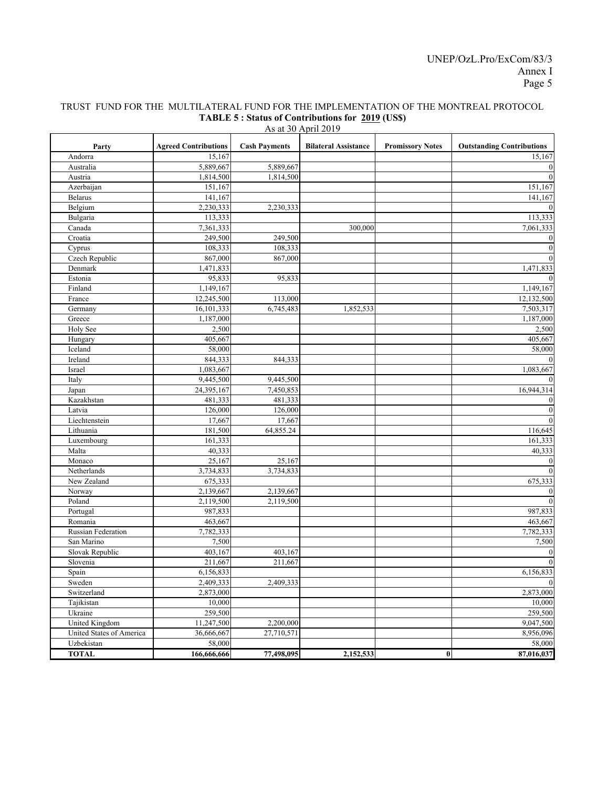### TRUST FUND FOR THE MULTILATERAL FUND FOR THE IMPLEMENTATION OF THE MONTREAL PROTOCOL **TABLE 5 : Status of Contributions for 2019 (US\$)**

| <b>Agreed Contributions</b><br><b>Cash Payments</b><br><b>Promissory Notes</b><br><b>Outstanding Contributions</b><br><b>Bilateral Assistance</b><br>Party<br>15,167<br>Andorra<br>15,167<br>5,889,667<br>Australia<br>5,889,667<br>$\boldsymbol{0}$<br>1,814,500<br>1,814,500<br>$\boldsymbol{0}$<br>Austria<br>Azerbaijan<br>151,167<br>151,167<br><b>Belarus</b><br>141,167<br>141,167<br>Belgium<br>2,230,333<br>2,230,333<br>$\mathbf{0}$<br>Bulgaria<br>113,333<br>113,333<br>Canada<br>7,361,333<br>300,000<br>7,061,333<br>Croatia<br>249,500<br>$\boldsymbol{0}$<br>249,500<br>108,333<br>$\boldsymbol{0}$<br>108,333<br>Cyprus<br>Czech Republic<br>$\mathbf{0}$<br>867,000<br>867,000<br>Denmark<br>1,471,833<br>1,471,833<br>Estonia<br>95,833<br>$\boldsymbol{0}$<br>95,833<br>Finland<br>1,149,167<br>1,149,167<br>France<br>12,245,500<br>12,132,500<br>113,000<br>16,101,333<br>6,745,483<br>1,852,533<br>7,503,317<br>Germany<br>Greece<br>1,187,000<br>1,187,000<br>Holy See<br>2,500<br>2,500<br>Hungary<br>405,667<br>405,667<br>Iceland<br>58,000<br>58,000<br>844,333<br>Ireland<br>844,333<br>$\bf{0}$<br>1,083,667<br>Israel<br>1,083,667<br>Italy<br>9,445,500<br>9,445,500<br>$\mathbf{0}$<br>24,395,167<br>7,450,853<br>16,944,314<br>Japan<br>Kazakhstan<br>481,333<br>481,333<br>$\bf{0}$<br>$\boldsymbol{0}$<br>Latvia<br>126,000<br>126,000 |
|----------------------------------------------------------------------------------------------------------------------------------------------------------------------------------------------------------------------------------------------------------------------------------------------------------------------------------------------------------------------------------------------------------------------------------------------------------------------------------------------------------------------------------------------------------------------------------------------------------------------------------------------------------------------------------------------------------------------------------------------------------------------------------------------------------------------------------------------------------------------------------------------------------------------------------------------------------------------------------------------------------------------------------------------------------------------------------------------------------------------------------------------------------------------------------------------------------------------------------------------------------------------------------------------------------------------------------------------------------------------------|
|                                                                                                                                                                                                                                                                                                                                                                                                                                                                                                                                                                                                                                                                                                                                                                                                                                                                                                                                                                                                                                                                                                                                                                                                                                                                                                                                                                            |
|                                                                                                                                                                                                                                                                                                                                                                                                                                                                                                                                                                                                                                                                                                                                                                                                                                                                                                                                                                                                                                                                                                                                                                                                                                                                                                                                                                            |
|                                                                                                                                                                                                                                                                                                                                                                                                                                                                                                                                                                                                                                                                                                                                                                                                                                                                                                                                                                                                                                                                                                                                                                                                                                                                                                                                                                            |
|                                                                                                                                                                                                                                                                                                                                                                                                                                                                                                                                                                                                                                                                                                                                                                                                                                                                                                                                                                                                                                                                                                                                                                                                                                                                                                                                                                            |
|                                                                                                                                                                                                                                                                                                                                                                                                                                                                                                                                                                                                                                                                                                                                                                                                                                                                                                                                                                                                                                                                                                                                                                                                                                                                                                                                                                            |
|                                                                                                                                                                                                                                                                                                                                                                                                                                                                                                                                                                                                                                                                                                                                                                                                                                                                                                                                                                                                                                                                                                                                                                                                                                                                                                                                                                            |
|                                                                                                                                                                                                                                                                                                                                                                                                                                                                                                                                                                                                                                                                                                                                                                                                                                                                                                                                                                                                                                                                                                                                                                                                                                                                                                                                                                            |
|                                                                                                                                                                                                                                                                                                                                                                                                                                                                                                                                                                                                                                                                                                                                                                                                                                                                                                                                                                                                                                                                                                                                                                                                                                                                                                                                                                            |
|                                                                                                                                                                                                                                                                                                                                                                                                                                                                                                                                                                                                                                                                                                                                                                                                                                                                                                                                                                                                                                                                                                                                                                                                                                                                                                                                                                            |
|                                                                                                                                                                                                                                                                                                                                                                                                                                                                                                                                                                                                                                                                                                                                                                                                                                                                                                                                                                                                                                                                                                                                                                                                                                                                                                                                                                            |
|                                                                                                                                                                                                                                                                                                                                                                                                                                                                                                                                                                                                                                                                                                                                                                                                                                                                                                                                                                                                                                                                                                                                                                                                                                                                                                                                                                            |
|                                                                                                                                                                                                                                                                                                                                                                                                                                                                                                                                                                                                                                                                                                                                                                                                                                                                                                                                                                                                                                                                                                                                                                                                                                                                                                                                                                            |
|                                                                                                                                                                                                                                                                                                                                                                                                                                                                                                                                                                                                                                                                                                                                                                                                                                                                                                                                                                                                                                                                                                                                                                                                                                                                                                                                                                            |
|                                                                                                                                                                                                                                                                                                                                                                                                                                                                                                                                                                                                                                                                                                                                                                                                                                                                                                                                                                                                                                                                                                                                                                                                                                                                                                                                                                            |
|                                                                                                                                                                                                                                                                                                                                                                                                                                                                                                                                                                                                                                                                                                                                                                                                                                                                                                                                                                                                                                                                                                                                                                                                                                                                                                                                                                            |
|                                                                                                                                                                                                                                                                                                                                                                                                                                                                                                                                                                                                                                                                                                                                                                                                                                                                                                                                                                                                                                                                                                                                                                                                                                                                                                                                                                            |
|                                                                                                                                                                                                                                                                                                                                                                                                                                                                                                                                                                                                                                                                                                                                                                                                                                                                                                                                                                                                                                                                                                                                                                                                                                                                                                                                                                            |
|                                                                                                                                                                                                                                                                                                                                                                                                                                                                                                                                                                                                                                                                                                                                                                                                                                                                                                                                                                                                                                                                                                                                                                                                                                                                                                                                                                            |
|                                                                                                                                                                                                                                                                                                                                                                                                                                                                                                                                                                                                                                                                                                                                                                                                                                                                                                                                                                                                                                                                                                                                                                                                                                                                                                                                                                            |
|                                                                                                                                                                                                                                                                                                                                                                                                                                                                                                                                                                                                                                                                                                                                                                                                                                                                                                                                                                                                                                                                                                                                                                                                                                                                                                                                                                            |
|                                                                                                                                                                                                                                                                                                                                                                                                                                                                                                                                                                                                                                                                                                                                                                                                                                                                                                                                                                                                                                                                                                                                                                                                                                                                                                                                                                            |
|                                                                                                                                                                                                                                                                                                                                                                                                                                                                                                                                                                                                                                                                                                                                                                                                                                                                                                                                                                                                                                                                                                                                                                                                                                                                                                                                                                            |
|                                                                                                                                                                                                                                                                                                                                                                                                                                                                                                                                                                                                                                                                                                                                                                                                                                                                                                                                                                                                                                                                                                                                                                                                                                                                                                                                                                            |
|                                                                                                                                                                                                                                                                                                                                                                                                                                                                                                                                                                                                                                                                                                                                                                                                                                                                                                                                                                                                                                                                                                                                                                                                                                                                                                                                                                            |
|                                                                                                                                                                                                                                                                                                                                                                                                                                                                                                                                                                                                                                                                                                                                                                                                                                                                                                                                                                                                                                                                                                                                                                                                                                                                                                                                                                            |
|                                                                                                                                                                                                                                                                                                                                                                                                                                                                                                                                                                                                                                                                                                                                                                                                                                                                                                                                                                                                                                                                                                                                                                                                                                                                                                                                                                            |
|                                                                                                                                                                                                                                                                                                                                                                                                                                                                                                                                                                                                                                                                                                                                                                                                                                                                                                                                                                                                                                                                                                                                                                                                                                                                                                                                                                            |
| $\boldsymbol{0}$<br>Liechtenstein<br>17,667<br>17,667                                                                                                                                                                                                                                                                                                                                                                                                                                                                                                                                                                                                                                                                                                                                                                                                                                                                                                                                                                                                                                                                                                                                                                                                                                                                                                                      |
| Lithuania<br>116,645<br>181,500<br>64,855.24                                                                                                                                                                                                                                                                                                                                                                                                                                                                                                                                                                                                                                                                                                                                                                                                                                                                                                                                                                                                                                                                                                                                                                                                                                                                                                                               |
| Luxembourg<br>161,333<br>161,333                                                                                                                                                                                                                                                                                                                                                                                                                                                                                                                                                                                                                                                                                                                                                                                                                                                                                                                                                                                                                                                                                                                                                                                                                                                                                                                                           |
| 40,333<br>Malta<br>40,333                                                                                                                                                                                                                                                                                                                                                                                                                                                                                                                                                                                                                                                                                                                                                                                                                                                                                                                                                                                                                                                                                                                                                                                                                                                                                                                                                  |
| Monaco<br>25,167<br>25,167<br>$\bf{0}$                                                                                                                                                                                                                                                                                                                                                                                                                                                                                                                                                                                                                                                                                                                                                                                                                                                                                                                                                                                                                                                                                                                                                                                                                                                                                                                                     |
| $\boldsymbol{0}$<br>Netherlands<br>3,734,833<br>3,734,833                                                                                                                                                                                                                                                                                                                                                                                                                                                                                                                                                                                                                                                                                                                                                                                                                                                                                                                                                                                                                                                                                                                                                                                                                                                                                                                  |
| New Zealand<br>675,333<br>675,333                                                                                                                                                                                                                                                                                                                                                                                                                                                                                                                                                                                                                                                                                                                                                                                                                                                                                                                                                                                                                                                                                                                                                                                                                                                                                                                                          |
| 2,139,667<br>2,139,667<br>Norway<br>$\bf{0}$                                                                                                                                                                                                                                                                                                                                                                                                                                                                                                                                                                                                                                                                                                                                                                                                                                                                                                                                                                                                                                                                                                                                                                                                                                                                                                                               |
| $\mathbf{0}$<br>Poland<br>2,119,500<br>2,119,500                                                                                                                                                                                                                                                                                                                                                                                                                                                                                                                                                                                                                                                                                                                                                                                                                                                                                                                                                                                                                                                                                                                                                                                                                                                                                                                           |
| Portugal<br>987,833<br>987,833                                                                                                                                                                                                                                                                                                                                                                                                                                                                                                                                                                                                                                                                                                                                                                                                                                                                                                                                                                                                                                                                                                                                                                                                                                                                                                                                             |
| Romania<br>463,667<br>463,667                                                                                                                                                                                                                                                                                                                                                                                                                                                                                                                                                                                                                                                                                                                                                                                                                                                                                                                                                                                                                                                                                                                                                                                                                                                                                                                                              |
| <b>Russian Federation</b><br>7,782,333<br>7,782,333                                                                                                                                                                                                                                                                                                                                                                                                                                                                                                                                                                                                                                                                                                                                                                                                                                                                                                                                                                                                                                                                                                                                                                                                                                                                                                                        |
| 7,500<br>San Marino<br>7,500                                                                                                                                                                                                                                                                                                                                                                                                                                                                                                                                                                                                                                                                                                                                                                                                                                                                                                                                                                                                                                                                                                                                                                                                                                                                                                                                               |
| Slovak Republic<br>403.167<br>403,167<br>$\bf{0}$                                                                                                                                                                                                                                                                                                                                                                                                                                                                                                                                                                                                                                                                                                                                                                                                                                                                                                                                                                                                                                                                                                                                                                                                                                                                                                                          |
| $\mathbf{0}$<br>Slovenia<br>211,667<br>211,667                                                                                                                                                                                                                                                                                                                                                                                                                                                                                                                                                                                                                                                                                                                                                                                                                                                                                                                                                                                                                                                                                                                                                                                                                                                                                                                             |
| 6,156,833<br>6,156,833<br>Spain                                                                                                                                                                                                                                                                                                                                                                                                                                                                                                                                                                                                                                                                                                                                                                                                                                                                                                                                                                                                                                                                                                                                                                                                                                                                                                                                            |
| 2,409,333<br>$\mathbf{0}$<br>Sweden<br>2,409,333                                                                                                                                                                                                                                                                                                                                                                                                                                                                                                                                                                                                                                                                                                                                                                                                                                                                                                                                                                                                                                                                                                                                                                                                                                                                                                                           |
| 2,873,000<br>Switzerland<br>2,873,000                                                                                                                                                                                                                                                                                                                                                                                                                                                                                                                                                                                                                                                                                                                                                                                                                                                                                                                                                                                                                                                                                                                                                                                                                                                                                                                                      |
| Tajikistan<br>10,000<br>10,000                                                                                                                                                                                                                                                                                                                                                                                                                                                                                                                                                                                                                                                                                                                                                                                                                                                                                                                                                                                                                                                                                                                                                                                                                                                                                                                                             |
| 259,500<br>Ukraine<br>259,500                                                                                                                                                                                                                                                                                                                                                                                                                                                                                                                                                                                                                                                                                                                                                                                                                                                                                                                                                                                                                                                                                                                                                                                                                                                                                                                                              |
| 9,047,500<br>United Kingdom<br>11,247,500<br>2,200,000                                                                                                                                                                                                                                                                                                                                                                                                                                                                                                                                                                                                                                                                                                                                                                                                                                                                                                                                                                                                                                                                                                                                                                                                                                                                                                                     |
| United States of America<br>36,666,667<br>27,710,571<br>8,956,096                                                                                                                                                                                                                                                                                                                                                                                                                                                                                                                                                                                                                                                                                                                                                                                                                                                                                                                                                                                                                                                                                                                                                                                                                                                                                                          |
| 58,000<br>Uzbekistan<br>58,000                                                                                                                                                                                                                                                                                                                                                                                                                                                                                                                                                                                                                                                                                                                                                                                                                                                                                                                                                                                                                                                                                                                                                                                                                                                                                                                                             |
| 77,498,095<br>$\bf{0}$<br><b>TOTAL</b><br>166,666,666<br>2,152,533<br>87,016,037                                                                                                                                                                                                                                                                                                                                                                                                                                                                                                                                                                                                                                                                                                                                                                                                                                                                                                                                                                                                                                                                                                                                                                                                                                                                                           |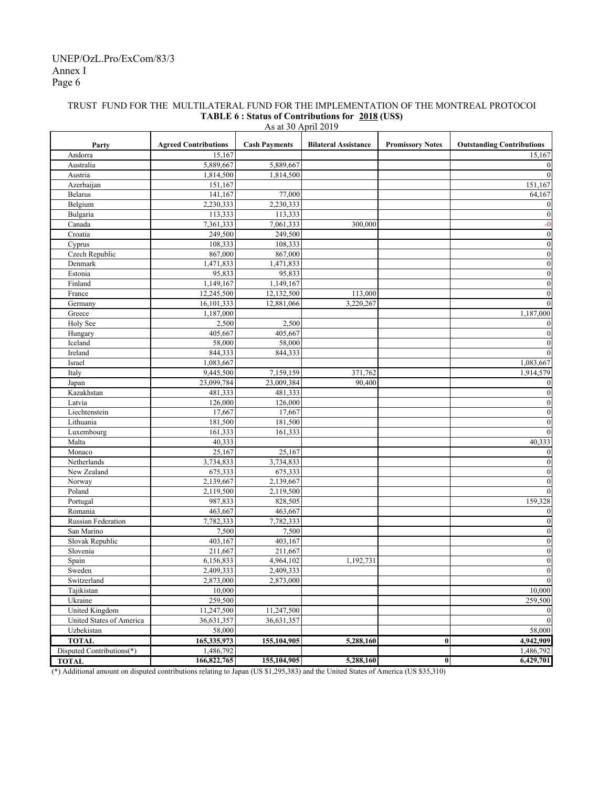#### Party **Agreed Contributions Cash Payments Bilateral Assistance Promissory Notes Outstanding Contributions** Andorra 15,167 15,167 15,167 15,167 15,167 15,167 15,167 Australia 1980 | 1990 | 1991 | 1992 | 1993 | 1994 | 1994 | 1994 | 1995 | 1996 | 1997 | 1998 | 1998 | 1998 | 19 Austria 1,814,500 1,814,500 0 Azerbaijan 151,167 151,167 151,167 151,167 151,167 151,167 151,167 151,167 151,167 Belarus 141,167 77,000 8elarus 141,167 64,167 Belgium  $2,230,333$   $2,230,333$   $2,230,333$ Bulgaria 113,333 113,333 0 Canada 7,361,333 7,061,333 300,000 -0 Croatia 249,500 249,500 0 Cyprus 108,333 108,333 108,333 108,333 108,333 108,333 108 108,333 108 108,000 108 108 108 108 108 108 108 108 Czech Republic 867,000 867,000 0 Denmark 1,471,833 1,471,833 1,471,833 1,471,833 1,471,833 1,471,833 1,471,833 1,471,833 1,471,833 1,471,833 1,471,833 1,471,833 1,471,833 1,471,833 1,471,833 1,471,833 1,471,833 1,471,833 1,471,833 1,471,833 1,471,833 1,47 Estonia 95,833 95,833 0 Finland 1,149,167 1,149,167 1,149,167 1,149,167 1,149,167 1,149,167 1,149,167 1,149,167 1,149,167 1,149,167 1,149 France 12,245,500 12,132,500 113,000 113,000 0 Germany 16,101,333 12,881,066 3,220,267 12,000 0 3,220,267 1 Greece 1,187,000 1,187,000 1,187,000 1,187,000 1,187,000 1,187,000 1,187,000 1,187,000 1,187,000 1,187,000 1,1 Holy See  $2,500$   $2,500$   $2,500$   $2,500$   $2,500$   $2,500$   $2,500$   $2,500$   $2,500$   $2,500$   $2,500$   $2,500$   $2,500$   $2,500$   $2,500$   $2,500$   $2,500$   $2,500$   $2,500$   $2,500$   $2,500$   $2,500$   $2,500$   $2,500$   $2,500$   $2,500$   $2,5$ Hungary 1990 | 405,667 | 405,667 | 405,667 | 100 | 100 | 100 | 100 | 100 | 100 | 100 | 100 | 100 | 100 | 100 |  $I = \begin{bmatrix} 1 & 1 & 1 \ 1 & 1 & 1 \ 1 & 1 & 1 \ 1 & 1 & 1 \ 1 & 1 & 1 \ 1 & 1 & 1 \ 1 & 1 & 1 \ 1 & 1 & 1 \ 1 & 1 & 1 \ 1 & 1 & 1 \ 1 & 1 & 1 \ 1 & 1 & 1 \ 1 & 1 & 1 \ 1 & 1 & 1 \ 1 & 1 & 1 \ 1 & 1 & 1 \ 1 & 1 & 1 \ 1 & 1 & 1 \ 1 & 1 & 1 \ 1 & 1 & 1 \ 1 & 1 & 1 \ 1 & 1 & 1 \ 1 & 1 & 1 \ 1 & 1$ Ireland  $844,333$   $844,333$   $844,333$ Israel 1,083,667 1,083,667 1,083,667 1,083,667 1,083,667 1,083,667 1,083,667 1,083,667 1,083,667 1,083,667 1,0 Italy 1,914,579 1,914,579 371,762 1,914,579 Japan 23,099,784 23,099,784 23,009,384 90,400 0 Kazakhstan 1988 | 1988 | 1988 | 1988 | 1988 | 1988 | 1988 | 1988 | 1988 | 1988 | 1988 | 1988 | 1988 | 1988 | 1 Latvia 126,000 126,000 0 Liechtenstein 17,667 17,667 17,667 0 Lithuania († 181,500 181,500 181,500 181,500 181,500 181,500 181,500 181,500 181,500 181,500 181,600 181 181, Luxembourg 161,333 161,333 161,333 161,333 161,333 161,333 161,533 161,533 161,533 161,61,61,61,61,61,61,61,61, Malta  $40,333$   $40,333$ Monaco  $25,167$   $25,167$   $25,167$  0 Netherlands 3,734,833 3,734,833 0 New Zealand 1  $(675,333)$  675,333 675,333 0 675,333 0 675,333 0 675,333 0 675,333 0 675,333 0 675,333 0 675,333 0 675,333 0 675,333 0 675,333 0 675,333 0 675,333 0 675,333 0 675,333 0 675,333 0 675,333 0 675,333 0 675,333 Norway 2,139,667 2,139,667 0 Poland 1 2,119,500 2,119,500 2,119,500 0 Portugal 159,328 987,833 828,505 159,328 Romania 1980 | 1990 | 1991 | 1992 | 1993 | 1994 | 1992 | 1993 | 1994 | 1992 | 1993 | 1994 | 1992 | 1993 | 199 Russian Federation 7,782,333 7,782,333 0 San Marino 2012 | 2,500 | 2,500 | 2,500 | 2,500 | 2,500 | 2,500 | 2,500 | 2,500 | 2,500 | 2,500 | 2,500 | 2,500 | 2,500 | 2,500 | 2,500 | 2,500 | 2,500 | 2,500 | 2,500 | 2,500 | 2,500 | 2,500 | 2,500 | 2,500 | 2,500 | 2,50 Slovak Republic  $403,167$   $403,167$   $403,167$   $403,167$   $403,167$   $403,167$   $403,167$   $403,167$   $403,167$   $403,167$   $403,167$   $403,167$   $403,167$   $403,167$   $403,167$   $403,167$   $403,167$   $403,167$   $403,167$   $403,167$   $403,$ Slovenia 211,667 211,667 211,667 211,667 211,667 211,667 211,667 211,667 211,667 211,667 211,667 211,667 211,667 211,667 211,667 211,667 211,667 211,667 211,667 211,667 211,667 211,667 211,667 211,667 211,667 211,667 211, Spain 6,156,833 4,964,102 1,192,731 1 Sweden 2,409,333 2,409,333 2,409,333 2,409,333 0 Switzerland 1 2,873,000 2,873,000 2,873,000 0 0 Tajikistan 10,000 10,000 Ukraine 259,500 259,500 259,500 259,500 259,500 259,500 259,500 259,500 259,500 259,500 259,500 259,500 259,50 United Kingdom 11,247,500 11,247,500 11,247,500 0 United States of America 1 36,631,357 36,631,357 36,631,357 0 Uzbekistan 58,000 58,000 **TOTAL** 165,335,973 155,104,905 5,288,160 0 4,942,909 Disputed Contributions(\*) 1,486,792 1,486,792 1,486,792 1,486,792 1,486,792 1,486,792 1,486,792 1,486,792 1,486,792 1,486,792 1,486,792 1,486,792 1,486,792 1,486,792 1,486,792 1,486,792 1,486,792 1,486,792 1,486,792 1,486, **TOTAL 166,822,765 155,104,905 5,288,160 0 6,429,701** As at 30 April 2019

#### TRUST FUND FOR THE MULTILATERAL FUND FOR THE IMPLEMENTATION OF THE MONTREAL PROTOCOL **TABLE 6 : Status of Contributions for 2018 (US\$)**

(\*) Additional amount on disputed contributions relating to Japan (US \$1,295,383) and the United States of America (US \$35,310)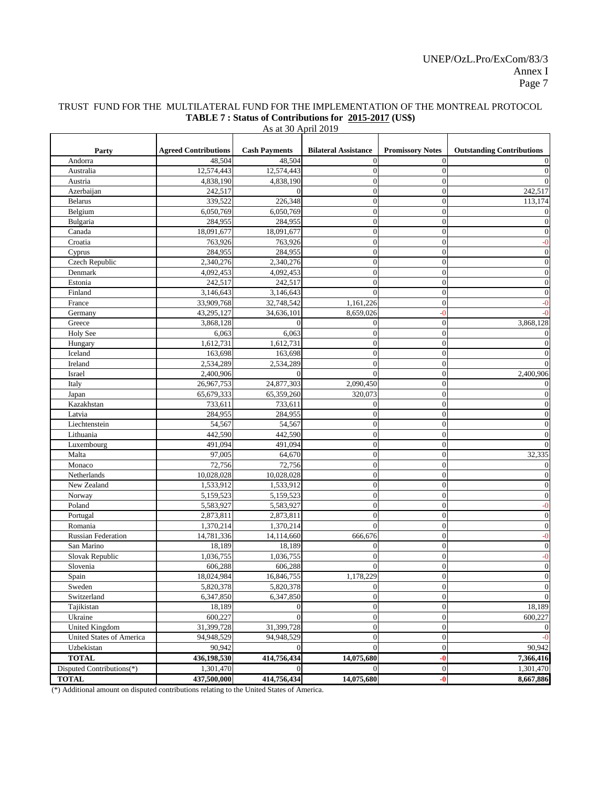## TRUST FUND FOR THE MULTILATERAL FUND FOR THE IMPLEMENTATION OF THE MONTREAL PROTOCOL **TABLE 7 : Status of Contributions for 2015-2017 (US\$)**

| As at 30 April 2019 |  |
|---------------------|--|
|---------------------|--|

|                            | <b>Agreed Contributions</b> | <b>Cash Payments</b>   | <b>Bilateral Assistance</b>        | <b>Promissory Notes</b> | <b>Outstanding Contributions</b> |
|----------------------------|-----------------------------|------------------------|------------------------------------|-------------------------|----------------------------------|
| Party<br>Andorra           | 48,504                      | 48,504                 |                                    | 0                       |                                  |
| Australia                  | 12,574,443                  | 12,574,443             |                                    | 0                       |                                  |
|                            |                             |                        | $\theta$                           |                         |                                  |
| Austria                    | 4,838,190                   | 4,838,190              | $\theta$                           |                         |                                  |
| Azerbaijan                 | 242,517                     | 0                      | $\theta$                           |                         | 242,517                          |
| <b>Belarus</b>             | 339,522                     | 226,348                | $\boldsymbol{0}$                   | 0                       | 113,174                          |
| Belgium                    | 6,050,769                   | 6,050,769              | $\boldsymbol{0}$                   | $\Omega$                | $\Omega$                         |
| Bulgaria<br>Canada         | 284,955                     | 284,955                | $\boldsymbol{0}$                   | $\Omega$                | $\Omega$                         |
|                            | 18,091,677                  | 18,091,677             | $\boldsymbol{0}$                   | 0                       | $\overline{0}$                   |
| Croatia                    | 763,926                     | 763,926                | $\overline{0}$                     |                         | $-0$                             |
| Cyprus<br>Czech Republic   | 284,955                     | 284,955                | $\overline{0}$                     | 0                       | $\overline{0}$                   |
|                            | 2,340,276                   | 2,340,276              | $\overline{0}$                     |                         | $\overline{0}$                   |
| Denmark<br>Estonia         | 4,092,453                   | 4,092,453              | $\overline{0}$<br>$\theta$         | 0                       | $\mathbf{0}$<br>$\theta$         |
| Finland                    | 242,517<br>3,146,643        | 242,517<br>3,146,643   | 0                                  | 0<br>0                  | $\mathbf{0}$                     |
|                            | 33,909,768                  | 32,748,542             | 1,161,226                          | 0                       | -0                               |
| France                     |                             |                        |                                    | -0                      |                                  |
| Germany                    | 43,295,127                  | 34,636,101<br>$\Omega$ | 8,659,026                          |                         |                                  |
| Greece                     | 3,868,128                   |                        | $\theta$                           | $\Omega$                | 3,868,128                        |
| <b>Holy See</b>            | 6,063<br>1,612,731          | 6,063                  | $\theta$                           | 0<br>0                  | $\mathbf{0}$                     |
| Hungary<br>Iceland         | 163,698                     | 1,612,731              | $\overline{0}$                     |                         | $\mathbf{0}$<br>$\Omega$         |
|                            |                             | 163,698                | $\overline{0}$                     | $\Omega$                | $\Omega$                         |
| Ireland                    | 2,534,289                   | 2,534,289              | 0                                  | $^{(1)}$                |                                  |
| Israel                     | 2,400,906                   | $\Omega$               | $\theta$                           | 0                       | 2,400,906                        |
| Italy                      | 26,967,753                  | 24,877,303             | 2,090,450<br>320,073               | 0<br>$\Omega$           | $\overline{0}$                   |
| Japan                      | 65,679,333                  | 65,359,260             |                                    |                         | $\overline{0}$                   |
| Kazakhstan                 | 733,611                     | 733,611                | $\theta$                           | $\Omega$                | $\boldsymbol{0}$                 |
| Latvia                     | 284,955                     | 284,955                | $\overline{0}$                     | $\Omega$                | $\boldsymbol{0}$                 |
| Liechtenstein<br>Lithuania | 54,567                      | 54,567                 | $\overline{0}$                     | 0                       | $\theta$                         |
|                            | 442,590<br>491,094          | 442,590<br>491,094     | $\overline{0}$<br>$\boldsymbol{0}$ | 0                       | $\Omega$<br>$\Omega$             |
| Luxembourg<br>Malta        | 97,005                      | 64,670                 |                                    | 0                       | 32,335                           |
| Monaco                     | 72,756                      | 72,756                 | $\boldsymbol{0}$<br>$\theta$       | 0                       | $\mathbf{0}$                     |
|                            | 10,028,028                  | 10,028,028             | 0                                  | ∩                       | $\Omega$                         |
| Netherlands<br>New Zealand | 1,533,912                   | 1,533,912              | $\boldsymbol{0}$                   | $\Omega$                | $\boldsymbol{0}$                 |
| Norway                     | 5,159,523                   | 5,159,523              | $\overline{0}$                     | 0                       | $\boldsymbol{0}$                 |
| Poland                     | 5,583,927                   | 5,583,927              | $\boldsymbol{0}$                   | 0                       | $-0$                             |
| Portugal                   | 2,873,811                   | 2,873,811              | $\overline{0}$                     | 0                       | $\overline{0}$                   |
| Romania                    | 1,370,214                   | 1,370,214              | $\theta$                           | 0                       | $\overline{0}$                   |
| <b>Russian Federation</b>  | 14,781,336                  | 14,114,660             | 666,676                            | 0                       | $-0$                             |
| San Marino                 | 18,189                      | 18,189                 | $\theta$                           | 0                       | $\overline{0}$                   |
| Slovak Republic            | 1,036,755                   | 1,036,755              | $\overline{0}$                     | $\Omega$                | $-0$                             |
| Slovenia                   | 606,288                     | 606,288                | $\overline{0}$                     | $\Omega$                | $\overline{0}$                   |
| Spain                      | 18,024,984                  | 16,846,755             | 1,178,229                          | $\Omega$                | $\overline{0}$                   |
| Sweden                     | 5,820,378                   | 5,820,378              | $\theta$                           | 0                       | $\overline{0}$                   |
| Switzerland                | 6,347,850                   | 6,347,850              | $\boldsymbol{0}$                   | 0                       | $\overline{0}$                   |
| Tajikistan                 | 18,189                      | $\Omega$               | $\overline{0}$                     | 0                       | 18,189                           |
| Ukraine                    | 600,227                     | $\Omega$               | $\overline{0}$                     | 0                       | 600,227                          |
| <b>United Kingdom</b>      | 31,399,728                  | 31,399,728             | $\boldsymbol{0}$                   | 01                      | $\Omega$                         |
| United States of America   | 94,948,529                  | 94,948,529             | $\overline{0}$                     | $\Omega$                | $-0$                             |
| Uzbekistan                 | 90,942                      | $\Omega$               | $\theta$                           | $\Omega$                | 90,942                           |
| <b>TOTAL</b>               | 436,198,530                 | 414,756,434            | 14,075,680                         | -0                      | 7,366,416                        |
| Disputed Contributions(*)  | 1,301,470                   | $\Omega$               |                                    | $\overline{0}$          | 1,301,470                        |
| <b>TOTAL</b>               | 437,500,000                 | 414,756,434            | 14,075,680                         | -0                      | 8,667,886                        |

(\*) Additional amount on disputed contributions relating to the United States of America.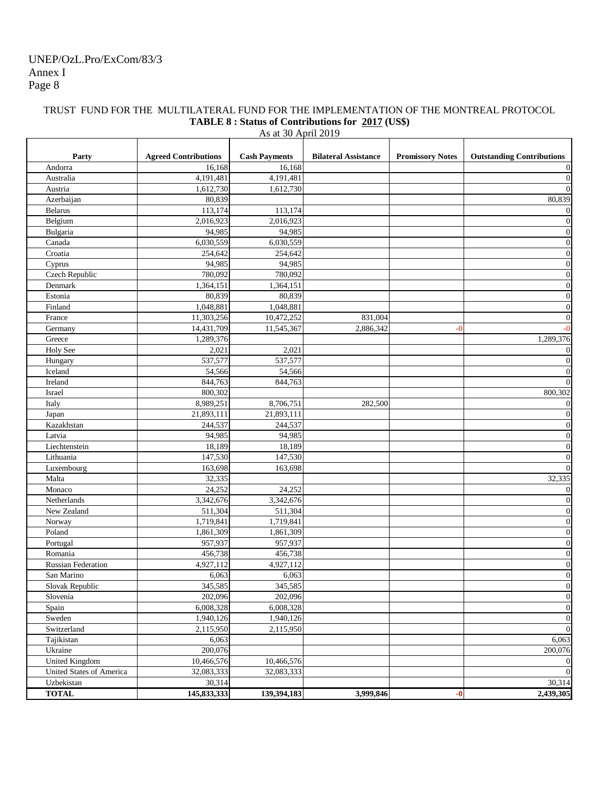### TRUST FUND FOR THE MULTILATERAL FUND FOR THE IMPLEMENTATION OF THE MONTREAL PROTOCOL **TABLE 8 : Status of Contributions for 2017 (US\$)**

| Party                     | <b>Agreed Contributions</b> | <b>Cash Payments</b> | <b>Bilateral Assistance</b> | <b>Promissory Notes</b> | <b>Outstanding Contributions</b> |
|---------------------------|-----------------------------|----------------------|-----------------------------|-------------------------|----------------------------------|
| Andorra                   | 16,168                      | 16,168               |                             |                         | 0                                |
| Australia                 | 4,191,481                   | 4,191,481            |                             |                         | $\mathbf{0}$                     |
| Austria                   | 1,612,730                   | 1,612,730            |                             |                         | $\Omega$                         |
| Azerbaijan                | 80,839                      |                      |                             |                         | 80,839                           |
| <b>Belarus</b>            | 113,174                     | 113,174              |                             |                         | $\overline{0}$                   |
| Belgium                   | 2,016,923                   | 2,016,923            |                             |                         | $\overline{0}$                   |
| Bulgaria                  | 94,985                      | 94,985               |                             |                         | $\boldsymbol{0}$                 |
| Canada                    | 6,030,559                   | 6,030,559            |                             |                         | $\overline{0}$                   |
| Croatia                   | 254,642                     | 254,642              |                             |                         | $\boldsymbol{0}$                 |
| Cyprus                    | 94,985                      | 94,985               |                             |                         | $\overline{0}$                   |
| Czech Republic            | 780,092                     | 780,092              |                             |                         | $\boldsymbol{0}$                 |
| Denmark                   | 1,364,151                   | 1,364,151            |                             |                         | $\boldsymbol{0}$                 |
| Estonia                   | 80,839                      | 80,839               |                             |                         | $\boldsymbol{0}$                 |
| Finland                   | 1,048,881                   | 1,048,881            |                             |                         | $\boldsymbol{0}$                 |
| France                    | 11,303,256                  | 10,472,252           | 831,004                     |                         | $\theta$                         |
| Germany                   | 14,431,709                  | 11,545,367           | 2,886,342                   | $-0$                    | $-0$                             |
| Greece                    | 1,289,376                   |                      |                             |                         | 1,289,376                        |
| <b>Holy See</b>           | 2,021                       | 2,021                |                             |                         | 0                                |
| Hungary                   | 537,577                     | 537,577              |                             |                         | $\overline{0}$                   |
| Iceland                   | 54,566                      | 54,566               |                             |                         | $\boldsymbol{0}$                 |
| Ireland                   | 844,763                     | 844,763              |                             |                         | $\theta$                         |
| Israel                    | 800,302                     |                      |                             |                         | 800,302                          |
| Italy                     | 8,989,251                   | 8,706,751            | 282,500                     |                         | $\overline{0}$                   |
| Japan                     | 21,893,111                  | 21,893,111           |                             |                         | $\boldsymbol{0}$                 |
| Kazakhstan                | 244,537                     | 244,537              |                             |                         | $\overline{0}$                   |
| Latvia                    | 94,985                      | 94,985               |                             |                         | $\boldsymbol{0}$                 |
| Liechtenstein             | 18,189                      | 18,189               |                             |                         | $\boldsymbol{0}$                 |
| Lithuania                 | 147,530                     | 147,530              |                             |                         | $\theta$                         |
| Luxembourg                | 163,698                     | 163,698              |                             |                         | $\theta$                         |
| Malta                     | 32,335                      |                      |                             |                         | 32,335                           |
| Monaco                    | 24,252                      | 24,252               |                             |                         | $\boldsymbol{0}$                 |
| Netherlands               | 3,342,676                   | 3,342,676            |                             |                         | $\boldsymbol{0}$                 |
| New Zealand               | 511,304                     | 511,304              |                             |                         | $\boldsymbol{0}$                 |
| Norway                    | 1,719,841                   | 1,719,841            |                             |                         | $\boldsymbol{0}$                 |
| Poland                    | 1,861,309                   | 1,861,309            |                             |                         | $\boldsymbol{0}$                 |
| Portugal                  | 957,937                     | 957,937              |                             |                         | $\boldsymbol{0}$                 |
| Romania                   | 456,738                     | 456,738              |                             |                         | $\overline{0}$                   |
| <b>Russian Federation</b> | 4,927,112                   | 4,927,112            |                             |                         | $\overline{0}$                   |
| San Marino                | 6,063                       | 6,063                |                             |                         | $\overline{0}$                   |
| Slovak Republic           | 345,585                     | 345,585              |                             |                         | $\overline{0}$                   |
| Slovenia                  | 202,096                     | 202,096              |                             |                         | $\boldsymbol{0}$                 |
| Spain                     | 6,008,328                   | 6,008,328            |                             |                         | $\overline{0}$                   |
| Sweden                    | 1,940,126                   | 1,940,126            |                             |                         | $\overline{0}$                   |
| Switzerland               | 2,115,950                   | 2,115,950            |                             |                         | $\overline{0}$                   |
| Tajikistan                | 6,063                       |                      |                             |                         | 6,063                            |
| Ukraine                   | 200,076                     |                      |                             |                         | 200,076                          |
| <b>United Kingdom</b>     | 10,466,576                  | 10,466,576           |                             |                         | 0                                |
| United States of America  | 32,083,333                  | 32,083,333           |                             |                         | $\overline{0}$                   |
| Uzbekistan                | 30,314                      |                      |                             |                         | 30,314                           |
| <b>TOTAL</b>              | 145,833,333                 | 139,394,183          | 3,999,846                   | $-0$                    | 2,439,305                        |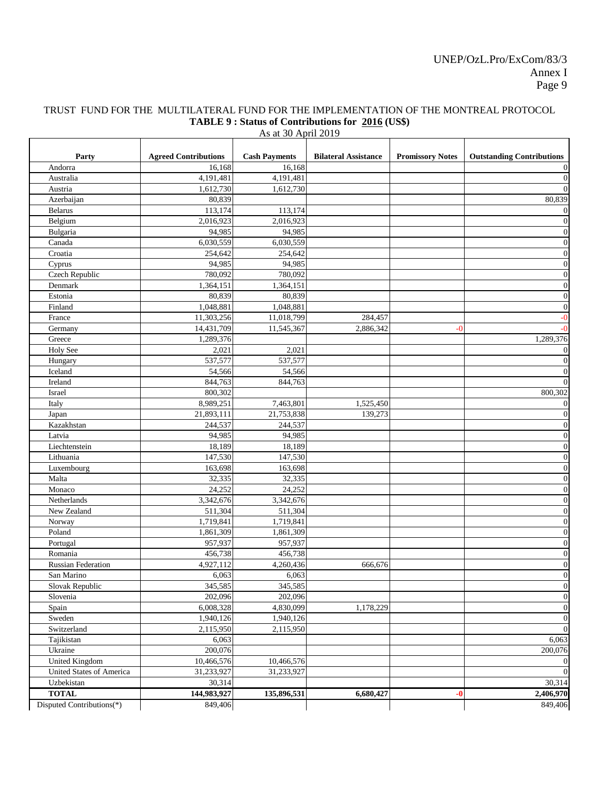### TRUST FUND FOR THE MULTILATERAL FUND FOR THE IMPLEMENTATION OF THE MONTREAL PROTOCOL **TABLE 9 : Status of Contributions for 2016 (US\$)**

| Party                           | <b>Agreed Contributions</b> | <b>Cash Payments</b> | <b>Bilateral Assistance</b> | <b>Promissory Notes</b> | <b>Outstanding Contributions</b> |
|---------------------------------|-----------------------------|----------------------|-----------------------------|-------------------------|----------------------------------|
| Andorra                         | 16,168                      | 16,168               |                             |                         | $\overline{0}$                   |
| Australia                       | 4,191,481                   | 4,191,481            |                             |                         | $\boldsymbol{0}$                 |
| Austria                         | 1,612,730                   | 1,612,730            |                             |                         | $\overline{0}$                   |
| Azerbaijan                      | 80,839                      |                      |                             |                         | 80,839                           |
| <b>Belarus</b>                  | 113,174                     | 113,174              |                             |                         | $\overline{0}$                   |
| Belgium                         | 2,016,923                   | 2,016,923            |                             |                         | $\boldsymbol{0}$                 |
| Bulgaria                        | 94,985                      | 94,985               |                             |                         | $\overline{0}$                   |
| Canada                          | 6,030,559                   | 6,030,559            |                             |                         | $\boldsymbol{0}$                 |
| Croatia                         | 254,642                     | 254,642              |                             |                         | $\boldsymbol{0}$                 |
| Cyprus                          | 94,985                      | 94,985               |                             |                         | $\boldsymbol{0}$                 |
| Czech Republic                  | 780,092                     | 780,092              |                             |                         | $\boldsymbol{0}$                 |
| Denmark                         | 1,364,151                   | 1,364,151            |                             |                         | $\overline{0}$                   |
| Estonia                         | 80,839                      | 80,839               |                             |                         | $\boldsymbol{0}$                 |
| Finland                         | 1,048,881                   | 1,048,881            |                             |                         | $\boldsymbol{0}$                 |
| France                          | 11,303,256                  | 11,018,799           | 284,457                     |                         | $-0$                             |
| Germany                         | 14,431,709                  | 11,545,367           | 2,886,342                   | -0                      | $-0$                             |
| Greece                          | 1,289,376                   |                      |                             |                         | 1,289,376                        |
| <b>Holy See</b>                 | 2,021                       | 2,021                |                             |                         | $\overline{0}$                   |
| Hungary                         | 537,577                     | 537,577              |                             |                         | $\boldsymbol{0}$                 |
| Iceland                         | 54,566                      | 54,566               |                             |                         | $\overline{0}$                   |
| Ireland                         | 844,763                     | 844,763              |                             |                         | $\overline{0}$                   |
| Israel                          | 800,302                     |                      |                             |                         | 800,302                          |
| Italy                           | 8,989,251                   | 7,463,801            | 1,525,450                   |                         | $\mathbf{0}$                     |
| Japan                           | 21,893,111                  | 21,753,838           | 139,273                     |                         | $\boldsymbol{0}$                 |
| Kazakhstan                      | 244,537                     | 244,537              |                             |                         | $\boldsymbol{0}$                 |
| Latvia                          | 94,985                      | 94,985               |                             |                         | $\boldsymbol{0}$                 |
| Liechtenstein                   | 18,189                      | 18,189               |                             |                         | $\mathbf{0}$                     |
| Lithuania                       | 147,530                     | 147,530              |                             |                         | $\boldsymbol{0}$                 |
| Luxembourg                      | 163,698                     | 163,698              |                             |                         | $\boldsymbol{0}$                 |
| Malta                           | 32,335                      | 32,335               |                             |                         | $\overline{0}$                   |
| Monaco                          | 24,252                      | 24,252               |                             |                         | $\boldsymbol{0}$                 |
| Netherlands                     | 3,342,676                   | 3,342,676            |                             |                         | $\overline{0}$                   |
| New Zealand                     | 511,304                     | 511,304              |                             |                         | $\boldsymbol{0}$                 |
| Norway                          | 1,719,841                   | 1,719,841            |                             |                         | $\overline{0}$                   |
| Poland                          | 1,861,309                   | 1,861,309            |                             |                         | $\overline{0}$                   |
| Portugal                        | 957,937                     | 957,937              |                             |                         | $\boldsymbol{0}$                 |
| Romania                         | 456,738                     | 456,738              |                             |                         | $\boldsymbol{0}$                 |
| <b>Russian Federation</b>       | 4,927,112                   | 4,260,436            | 666,676                     |                         | $\boldsymbol{0}$                 |
| San Marino                      | 6,063                       | 6,063                |                             |                         | $\boldsymbol{0}$                 |
| Slovak Republic                 | 345,585                     | 345,585              |                             |                         | $\boldsymbol{0}$                 |
| Slovenia                        | 202,096                     | 202,096              |                             |                         | $\overline{0}$                   |
| Spain                           | 6,008,328                   | 4,830,099            | 1,178,229                   |                         | $\overline{0}$                   |
| Sweden                          | 1,940,126                   | 1,940,126            |                             |                         | $\boldsymbol{0}$                 |
| Switzerland                     | 2,115,950                   |                      |                             |                         | $\overline{0}$                   |
|                                 | 6,063                       | 2,115,950            |                             |                         | 6,063                            |
| Tajikistan                      | 200,076                     |                      |                             |                         | 200,076                          |
| Ukraine                         |                             |                      |                             |                         |                                  |
| <b>United Kingdom</b>           | 10,466,576                  | 10,466,576           |                             |                         | $\overline{0}$                   |
| <b>United States of America</b> | 31,233,927                  | 31,233,927           |                             |                         | $\mathbf{0}$                     |
| Uzbekistan                      | 30,314                      |                      |                             |                         | 30,314                           |
| <b>TOTAL</b>                    | 144,983,927                 | 135,896,531          | 6,680,427                   | $-0$                    | 2,406,970                        |
| Disputed Contributions(*)       | 849,406                     |                      |                             |                         | 849,406                          |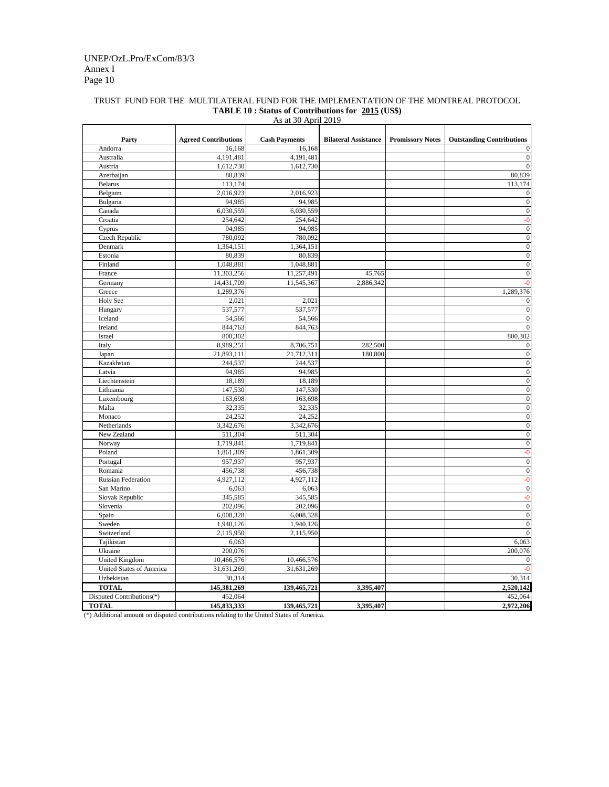|                                  |                             | $110 \text{ at } 501 \text{ H}$ |                             |                         |                                  |
|----------------------------------|-----------------------------|---------------------------------|-----------------------------|-------------------------|----------------------------------|
| Party                            | <b>Agreed Contributions</b> | <b>Cash Payments</b>            | <b>Bilateral Assistance</b> | <b>Promissory Notes</b> | <b>Outstanding Contributions</b> |
| Andorra                          | 16,168                      | 16,168                          |                             |                         |                                  |
| Australia                        | 4,191,481                   | 4,191,481                       |                             |                         |                                  |
| Austria                          | 1,612,730                   | 1,612,730                       |                             |                         |                                  |
| Azerbaijan                       | 80,839                      |                                 |                             |                         | 80,839                           |
| <b>Belarus</b>                   | 113,174                     |                                 |                             |                         | 113,174                          |
| Belgium                          | 2,016,923                   | 2,016,923                       |                             |                         |                                  |
| Bulgaria                         | 94,985                      | 94,985                          |                             |                         | $\theta$                         |
| Canada                           | 6,030,559                   | 6,030,559                       |                             |                         | $\Omega$                         |
| Croatia                          | 254,642                     | 254,642                         |                             |                         |                                  |
| Cyprus                           | 94,985                      | 94,985                          |                             |                         | $\Omega$                         |
| <b>Czech Republic</b>            | 780,092                     | 780,092                         |                             |                         | $\theta$                         |
| Denmark                          | 1,364,151                   | 1,364,151                       |                             |                         | 0                                |
| Estonia                          | 80,839                      | 80,839                          |                             |                         | 0                                |
| Finland                          | 1,048,881                   | 1,048,881                       |                             |                         | $\Omega$                         |
| France                           | 11,303,256                  | 11,257,491                      | 45,765                      |                         | $\theta$                         |
| Germany                          | 14,431,709                  | 11,545,367                      | 2,886,342                   |                         |                                  |
| Greece                           | 1,289,376                   |                                 |                             |                         | 1,289,376                        |
| Holy See                         | 2,021                       | 2,021                           |                             |                         |                                  |
| Hungary                          | 537,577                     | 537,577                         |                             |                         |                                  |
| Iceland                          | 54,566                      | 54,566                          |                             |                         |                                  |
| Ireland                          | 844,763                     | 844,763                         |                             |                         |                                  |
| Israel                           | 800,302                     |                                 |                             |                         | 800,302                          |
| Italy                            | 8,989,251                   | 8,706,751                       | 282,500                     |                         |                                  |
| Japan                            | 21,893,111                  | 21,712,311                      | 180,800                     |                         | $\theta$                         |
| Kazakhstan                       | 244,537                     | 244,537                         |                             |                         | $\Omega$                         |
| Latvia                           | 94,985                      | 94,985                          |                             |                         | 0                                |
| Liechtenstein                    | 18,189                      | 18,189                          |                             |                         | 0                                |
| Lithuania                        | 147,530                     | 147,530                         |                             |                         | $\Omega$                         |
| Luxembourg                       | 163,698                     | 163,698                         |                             |                         | $\Omega$                         |
| Malta                            | 32,335                      | 32,335                          |                             |                         | $\Omega$                         |
| Monaco                           | 24,252                      | 24,252                          |                             |                         | $\overline{0}$                   |
| $\overline{\text{N}}$ etherlands | 3,342,676                   | 3,342,676                       |                             |                         | $\boldsymbol{0}$                 |
| New Zealand                      | 511,304                     | 511,304                         |                             |                         | $\mathbf{0}$                     |
| Norway                           | 1,719,841                   | 1,719,841                       |                             |                         | $\boldsymbol{0}$                 |
| Poland                           | 1,861,309                   | 1,861,309                       |                             |                         | $-0$                             |
| Portugal                         | 957,937                     | 957,937                         |                             |                         | $\boldsymbol{0}$                 |
| Romania                          | 456,738                     | 456,738                         |                             |                         | $\mathbf{0}$                     |
| <b>Russian Federation</b>        | 4,927,112                   | 4,927,112                       |                             |                         | $-0$                             |
| San Marino                       | 6,063                       | 6,063                           |                             |                         | $\mathbf{0}$                     |
| Slovak Republic                  | 345,585                     | 345,585                         |                             |                         | $-0$                             |
| Slovenia                         | 202,096                     | 202,096                         |                             |                         | $\boldsymbol{0}$                 |
| Spain                            | 6,008,328                   | 6,008,328                       |                             |                         | $\boldsymbol{0}$                 |
| Sweden                           | 1,940,126                   | 1,940,126                       |                             |                         | $\mathbf{0}$                     |
| Switzerland                      | 2,115,950                   | 2,115,950                       |                             |                         | $\Omega$                         |
| Tajikistan                       | 6,063                       |                                 |                             |                         | 6,063                            |
| Ukraine                          | 200,076                     |                                 |                             |                         | 200,076                          |
| <b>United Kingdom</b>            | 10,466,576                  | 10,466,576                      |                             |                         |                                  |
| <b>United States of America</b>  | 31,631,269                  | 31,631,269                      |                             |                         |                                  |
| Uzbekistan                       | 30,314                      |                                 |                             |                         | 30,314                           |
| <b>TOTAL</b>                     | 145,381,269                 | 139,465,721                     | 3,395,407                   |                         | 2,520,142                        |
| Disputed Contributions(*)        | 452,064                     |                                 |                             |                         | 452,064                          |
| <b>TOTAL</b>                     | 145,833,333                 | 139,465,721                     | 3,395,407                   |                         | 2,972,206                        |
|                                  |                             |                                 |                             |                         |                                  |

# Annex I Page 10 UNEP/OzL.Pro/ExCom/83/3

(\*) Additional amount on disputed contributions relating to the United States of America.

### TRUST FUND FOR THE MULTILATERAL FUND FOR THE IMPLEMENTATION OF THE MONTREAL PROTOCOL **TABLE 10 : Status of Contributions for 2015 (US\$)** As at 30 April 2019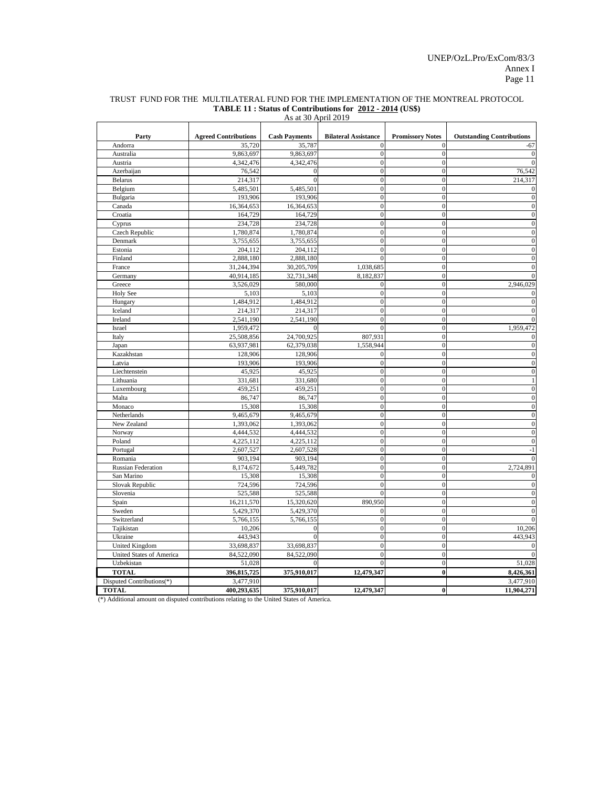|                           | <b>Agreed Contributions</b> | $110 \text{ at } 501 \text{ p}$<br><b>Cash Payments</b> | <b>Bilateral Assistance</b> | <b>Promissory Notes</b> | <b>Outstanding Contributions</b> |
|---------------------------|-----------------------------|---------------------------------------------------------|-----------------------------|-------------------------|----------------------------------|
| Party<br>Andorra          | 35,720                      | 35,787                                                  | $\theta$                    | $\Omega$                | $-67$                            |
| Australia                 | 9,863,697                   | 9,863,697                                               | $\theta$                    |                         |                                  |
| Austria                   | 4,342,476                   | 4,342,476                                               | $\overline{0}$              |                         |                                  |
| Azerbaijan                | 76,542                      | $\Omega$                                                | $\overline{0}$              | 0                       | 76,542                           |
| <b>Belarus</b>            | 214,317                     | $\Omega$                                                | $\overline{0}$              | 0                       | 214,317                          |
| Belgium                   | 5,485,501                   | 5,485,501                                               | $\overline{0}$              |                         |                                  |
| Bulgaria                  | 193,906                     | 193,906                                                 | $\overline{0}$              |                         | $\Omega$                         |
| Canada                    | 16,364,653                  | 16,364,653                                              | $\overline{0}$              |                         |                                  |
| Croatia                   | 164,729                     | 164,729                                                 | $\overline{0}$              |                         |                                  |
| Cyprus                    | 234,728                     | 234,728                                                 | $\mathbf{0}$                | 0                       | 0                                |
| Czech Republic            | 1,780,874                   | 1,780,874                                               | $\mathbf{0}$                | ∩                       | $\Omega$                         |
| Denmark                   | 3,755,655                   | 3,755,655                                               | $\overline{0}$              |                         |                                  |
| Estonia                   | 204,112                     | 204,112                                                 | $\overline{0}$              |                         |                                  |
| Finland                   | 2,888,180                   | 2,888,180                                               | $\Omega$                    | 0                       |                                  |
| France                    | 31,244,394                  | 30,205,709                                              | 1,038,685                   | 0                       |                                  |
| Germany                   | 40,914,185                  | 32,731,348                                              | 8,182,837                   |                         | 0                                |
| Greece                    | 3,526,029                   | 580,000                                                 | $\Omega$                    |                         | 2,946,029                        |
|                           |                             |                                                         |                             |                         |                                  |
| <b>Holy See</b>           | 5,103<br>1,484,912          | 5,103<br>1,484,912                                      | $\Omega$<br>$\theta$        |                         |                                  |
| Hungary<br>Iceland        | 214,317                     | 214,317                                                 | $\overline{0}$              | ∩                       |                                  |
|                           |                             |                                                         |                             |                         |                                  |
| Ireland                   | 2,541,190                   | 2,541,190<br>$\Omega$                                   | $\theta$<br>$\theta$        | 0                       | 1,959,472                        |
| Israel                    | 1,959,472                   |                                                         |                             |                         |                                  |
| Italy                     | 25,508,856                  | 24,700,925                                              | 807,931                     | 0                       |                                  |
| Japan<br>Kazakhstan       | 63,937,981                  | 62,379,038                                              | 1,558,944                   | 0                       |                                  |
|                           | 128,906                     | 128,906                                                 | 0                           | 0                       | 0                                |
| Latvia                    | 193,906                     | 193,906                                                 | $\overline{0}$              |                         |                                  |
| Liechtenstein             | 45,925                      | 45,925                                                  | $\theta$                    |                         |                                  |
| Lithuania                 | 331,681                     | 331,680                                                 | $\overline{0}$              |                         |                                  |
| Luxembourg                | 459,251                     | 459,251                                                 | $\overline{0}$              | 0                       | 0                                |
| Malta                     | 86,747                      | 86,747                                                  | $\mathbf{0}$                | $\Omega$                | $\Omega$                         |
| Monaco                    | 15,308                      | 15,308                                                  | $\mathbf{0}$                | 0                       | $\Omega$                         |
| Netherlands               | 9,465,679                   | 9,465,679                                               | $\boldsymbol{0}$            | $\boldsymbol{0}$        |                                  |
| New Zealand               | 1,393,062                   | 1,393,062                                               | $\mathbf{0}$                | 0                       | $\theta$                         |
| Norway                    | 4,444,532                   | 4,444,532                                               | $\boldsymbol{0}$            | 0                       | $\Omega$                         |
| Poland                    | 4,225,112                   | 4,225,112                                               | $\boldsymbol{0}$            |                         | $\Omega$                         |
| Portugal                  | 2,607,527                   | 2,607,528                                               | $\boldsymbol{0}$            |                         | $-1$                             |
| Romania                   | 903,194                     | 903,194                                                 | $\boldsymbol{0}$            | 0                       |                                  |
| <b>Russian Federation</b> | 8,174,672                   | 5,449,782                                               | $\boldsymbol{0}$            | 0                       | 2,724,891                        |
| San Marino                | 15,308                      | 15,308                                                  | $\mathbf{0}$                | 0                       |                                  |
| Slovak Republic           | 724,596                     | 724,596                                                 | $\mathbf{0}$                |                         | $\Omega$                         |
| Slovenia                  | 525,588                     | 525,588                                                 | $\theta$                    |                         | 0                                |
| Spain                     | 16,211,570                  | 15,320,620                                              | 890,950                     |                         | $\Omega$                         |
| Sweden                    | 5,429,370                   | 5,429,370                                               | 0                           | 0                       |                                  |
| Switzerland               | 5,766,155                   | 5,766,155                                               | $\boldsymbol{0}$            | 0                       |                                  |
| Tajikistan                | 10,206                      | $\Omega$                                                | $\boldsymbol{0}$            |                         | 10,206                           |
| Ukraine                   | 443,943                     |                                                         | $\mathbf{0}$                |                         | 443,943                          |
| <b>United Kingdom</b>     | 33,698,837                  | 33,698,837                                              | $\overline{0}$              |                         |                                  |
| United States of America  | 84,522,090                  | 84,522,090                                              | 0                           |                         |                                  |
| Uzbekistan                | 51,028                      | $\Omega$                                                | $\Omega$                    | 0                       | 51,028                           |
| <b>TOTAL</b>              | 396,815,725                 | 375,910,017                                             | 12,479,347                  | $\bf{0}$                | 8,426,361                        |
| Disputed Contributions(*) | 3,477,910                   |                                                         |                             |                         | 3,477,910                        |
| <b>TOTAL</b>              | 400,293,635                 | 375,910,017                                             | 12,479,347                  | 0                       | 11,904,271                       |

(\*) Additional amount on disputed contributions relating to the United States of America.

### TRUST FUND FOR THE MULTILATERAL FUND FOR THE IMPLEMENTATION OF THE MONTREAL PROTOCOL **TABLE 11 : Status of Contributions for 2012 - 2014 (US\$)** As at 30 April 2019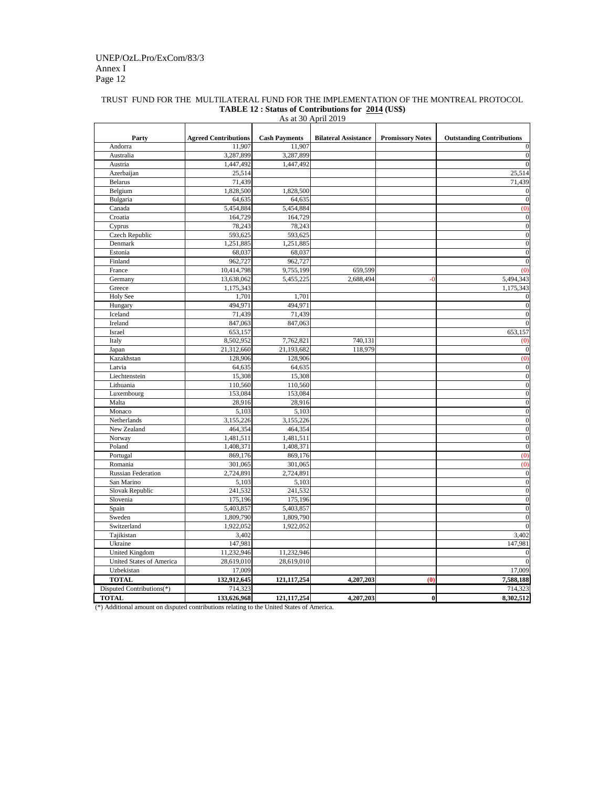|                                                                                          |                                       |                                | <b>Bilateral Assistance</b> |                         |                                       |
|------------------------------------------------------------------------------------------|---------------------------------------|--------------------------------|-----------------------------|-------------------------|---------------------------------------|
| Party<br>Andorra                                                                         | <b>Agreed Contributions</b><br>11,907 | <b>Cash Payments</b><br>11,907 |                             | <b>Promissory Notes</b> | <b>Outstanding Contributions</b><br>0 |
| Australia                                                                                | 3,287,899                             | 3,287,899                      |                             |                         | $\theta$                              |
| Austria                                                                                  | 1,447,492                             | 1,447,492                      |                             |                         | $\Omega$                              |
|                                                                                          |                                       |                                |                             |                         |                                       |
| Azerbaijan<br><b>Belarus</b>                                                             | 25,514<br>71,439                      |                                |                             |                         | 25,514                                |
|                                                                                          |                                       |                                |                             |                         | 71,439                                |
| Belgium                                                                                  | 1,828,500                             | 1,828,500                      |                             |                         | $\theta$                              |
| Bulgaria                                                                                 | 64,635                                | 64,635                         |                             |                         | $\mathbf{0}$                          |
| Canada                                                                                   | 5,454,884                             | 5,454,884                      |                             |                         | (0)                                   |
| Croatia                                                                                  | 164,729                               | 164,729                        |                             |                         | $\Omega$                              |
| Cyprus                                                                                   | 78,243                                | 78,243                         |                             |                         | $\overline{0}$                        |
| <b>Czech Republic</b>                                                                    | 593,625                               | 593,625                        |                             |                         | $\boldsymbol{0}$                      |
| Denmark                                                                                  | 1,251,885                             | 1,251,885                      |                             |                         | $\theta$                              |
| Estonia                                                                                  | 68,037                                | 68,037                         |                             |                         | $\theta$                              |
| Finland                                                                                  | 962,727                               | 962,727                        |                             |                         | $\Omega$                              |
| France                                                                                   | 10,414,798                            | 9,755,199                      | 659,599                     |                         | (0)                                   |
| Germany                                                                                  | 13,638,062                            | 5,455,225                      | 2,688,494                   | $-0$                    | 5,494,343                             |
| Greece                                                                                   | 1,175,343                             |                                |                             |                         | 1,175,343                             |
| <b>Holy See</b>                                                                          | 1,701                                 | 1,701                          |                             |                         |                                       |
| Hungary                                                                                  | 494,971                               | 494,971                        |                             |                         | $\Omega$                              |
| Iceland                                                                                  | 71,439                                | 71,439                         |                             |                         | 0                                     |
| Ireland                                                                                  | 847,063                               | 847,063                        |                             |                         |                                       |
| Israel                                                                                   | 653,157                               |                                |                             |                         | 653,157                               |
| Italy                                                                                    | 8,502,952                             | 7,762,821                      | 740,131                     |                         | (0)                                   |
| Japan                                                                                    | 21,312,660                            | 21,193,682                     | 118,979                     |                         | $\theta$                              |
| Kazakhstan                                                                               | 128,906                               | 128,906                        |                             |                         | (0)                                   |
| Latvia                                                                                   | 64,635                                | 64,635                         |                             |                         | $\mathbf{0}$                          |
| Liechtenstein                                                                            | 15,308                                | 15,308                         |                             |                         | $\mathbf{0}$                          |
| Lithuania                                                                                | 110,560                               | 110,560                        |                             |                         | $\boldsymbol{0}$                      |
| Luxembourg                                                                               | 153,084                               | 153,084                        |                             |                         | $\theta$                              |
| Malta                                                                                    | 28,916                                | 28,916                         |                             |                         | $\theta$                              |
| Monaco                                                                                   | 5,103                                 | 5,103                          |                             |                         | $\overline{0}$                        |
| Netherlands                                                                              | 3,155,226                             | 3,155,226                      |                             |                         | $\boldsymbol{0}$                      |
| New Zealand                                                                              | 464,354                               | 464,354                        |                             |                         | $\overline{0}$                        |
| Norway                                                                                   | 1,481,511                             | 1,481,511                      |                             |                         | $\boldsymbol{0}$                      |
| Poland                                                                                   | 1,408,371                             | 1,408,371                      |                             |                         | $\mathbf{0}$                          |
| Portugal                                                                                 | 869,176                               | 869,176                        |                             |                         | (0)                                   |
| Romania                                                                                  | 301,065                               | 301,065                        |                             |                         | (0)                                   |
| <b>Russian Federation</b>                                                                | 2,724,891                             | 2,724,891                      |                             |                         | $\mathbf{0}$                          |
| San Marino                                                                               | 5,103                                 | 5,103                          |                             |                         | $\overline{0}$                        |
| Slovak Republic                                                                          | 241,532                               | 241,532                        |                             |                         | $\mathbf{0}$                          |
| Slovenia                                                                                 | 175,196                               | 175,196                        |                             |                         | $\boldsymbol{0}$                      |
| Spain                                                                                    | 5,403,857                             | 5,403,857                      |                             |                         | $\boldsymbol{0}$                      |
| Sweden                                                                                   | 1,809,790                             | 1,809,790                      |                             |                         | $\theta$                              |
| Switzerland                                                                              | 1,922,052                             | 1,922,052                      |                             |                         | $\Omega$                              |
| Tajikistan                                                                               | 3,402                                 |                                |                             |                         | 3,402                                 |
| Ukraine                                                                                  | 147,981                               |                                |                             |                         | 147,981                               |
| <b>United Kingdom</b>                                                                    | 11,232,946                            | 11,232,946                     |                             |                         |                                       |
| <b>United States of America</b>                                                          | 28,619,010                            | 28,619,010                     |                             |                         |                                       |
| Uzbekistan                                                                               | 17,009                                |                                |                             |                         | 17,009                                |
| <b>TOTAL</b>                                                                             | 132,912,645                           | 121, 117, 254                  | 4,207,203                   | (0)                     | 7,588,188                             |
| Disputed Contributions(*)                                                                | 714,323                               |                                |                             |                         | 714,323                               |
| <b>TOTAL</b>                                                                             | 133,626,968                           | 121, 117, 254                  | 4,207,203                   | $\boldsymbol{0}$        | 8,302,512                             |
| (*) Additional amount on disputed contributions relating to the United States of America |                                       |                                |                             |                         |                                       |

# Annex I Page 12 UNEP/OzL.Pro/ExCom/83/3

(\*) Additional amount on disputed contributions relating to the United States of America.

### TRUST FUND FOR THE MULTILATERAL FUND FOR THE IMPLEMENTATION OF THE MONTREAL PROTOCOL **TABLE 12 : Status of Contributions for 2014 (US\$)** As at 30 April 2019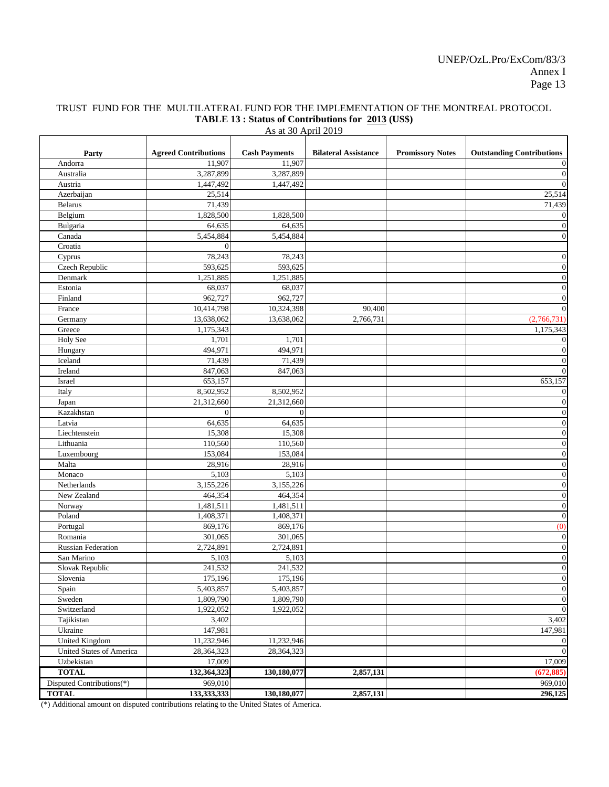# TRUST FUND FOR THE MULTILATERAL FUND FOR THE IMPLEMENTATION OF THE MONTREAL PROTOCOL **TABLE 13 : Status of Contributions for 2013 (US\$)**

As at 30 April 2019

| Party                           | <b>Agreed Contributions</b> | <b>Cash Payments</b> | <b>Bilateral Assistance</b> | <b>Promissory Notes</b> | <b>Outstanding Contributions</b>     |
|---------------------------------|-----------------------------|----------------------|-----------------------------|-------------------------|--------------------------------------|
| Andorra                         | 11,907                      | 11,907               |                             |                         | $\boldsymbol{0}$                     |
| Australia                       | 3,287,899                   | 3,287,899            |                             |                         | $\boldsymbol{0}$                     |
| Austria                         | 1,447,492                   | 1,447,492            |                             |                         | $\overline{0}$                       |
| Azerbaijan                      | 25,514                      |                      |                             |                         | 25,514                               |
| <b>Belarus</b>                  | 71,439                      |                      |                             |                         | 71,439                               |
| Belgium                         | 1,828,500                   | 1,828,500            |                             |                         | $\boldsymbol{0}$                     |
| Bulgaria                        | 64,635                      | 64,635               |                             |                         | $\overline{0}$<br>$\boldsymbol{0}$   |
| Canada<br>Croatia               | 5,454,884<br>$\theta$       | 5,454,884            |                             |                         |                                      |
|                                 |                             |                      |                             |                         |                                      |
| Cyprus                          | 78,243                      | 78,243               |                             |                         | $\overline{0}$                       |
| Czech Republic<br>Denmark       | 593,625<br>1,251,885        | 593,625<br>1,251,885 |                             |                         | $\boldsymbol{0}$<br>$\boldsymbol{0}$ |
| Estonia                         | 68,037                      | 68,037               |                             |                         | $\boldsymbol{0}$                     |
| Finland                         | 962,727                     | 962,727              |                             |                         | $\boldsymbol{0}$                     |
| France                          | 10,414,798                  | 10,324,398           | 90,400                      |                         | $\overline{0}$                       |
| Germany                         | 13,638,062                  | 13,638,062           | 2,766,731                   |                         | (2,766,731)                          |
| Greece                          | 1,175,343                   |                      |                             |                         | 1,175,343                            |
| <b>Holy See</b>                 | 1,701                       | 1,701                |                             |                         | $\overline{0}$                       |
| Hungary                         | 494,971                     | 494,971              |                             |                         | $\mathbf{0}$                         |
| Iceland                         | 71,439                      | 71,439               |                             |                         | $\overline{0}$                       |
| Ireland                         | 847,063                     | 847,063              |                             |                         | $\boldsymbol{0}$                     |
| Israel                          | 653,157                     |                      |                             |                         | 653,157                              |
| Italy                           | 8,502,952                   | 8,502,952            |                             |                         | $\boldsymbol{0}$                     |
| Japan                           | 21,312,660                  | 21,312,660           |                             |                         | $\boldsymbol{0}$                     |
| Kazakhstan                      | $\Omega$                    | $\Omega$             |                             |                         | $\boldsymbol{0}$                     |
| Latvia                          | 64,635                      | 64,635               |                             |                         | $\boldsymbol{0}$                     |
| Liechtenstein                   | 15,308                      | 15,308               |                             |                         | $\boldsymbol{0}$                     |
| Lithuania                       | 110,560                     | 110,560              |                             |                         | $\boldsymbol{0}$                     |
| Luxembourg                      | 153,084                     | 153,084              |                             |                         | $\boldsymbol{0}$                     |
| Malta                           | 28,916                      | 28,916               |                             |                         | $\boldsymbol{0}$                     |
| Monaco                          | 5,103                       | 5,103                |                             |                         | $\overline{0}$                       |
| Netherlands                     | 3,155,226                   | 3,155,226            |                             |                         | $\overline{0}$                       |
| New Zealand                     | 464,354                     | 464,354              |                             |                         | $\boldsymbol{0}$                     |
| Norway                          | 1,481,511                   | 1,481,511            |                             |                         | $\boldsymbol{0}$                     |
| Poland                          | 1,408,371                   | 1,408,371            |                             |                         | $\boldsymbol{0}$                     |
| Portugal                        | 869,176                     | 869,176              |                             |                         | (0)                                  |
| Romania                         | 301,065                     | 301,065              |                             |                         | $\boldsymbol{0}$                     |
| <b>Russian Federation</b>       | 2,724,891                   | 2,724,891            |                             |                         | $\boldsymbol{0}$                     |
| San Marino                      | 5,103                       | 5,103                |                             |                         | $\boldsymbol{0}$                     |
| Slovak Republic                 | 241,532                     | 241,532              |                             |                         | $\boldsymbol{0}$                     |
| Slovenia                        | 175,196                     | 175,196              |                             |                         | $\boldsymbol{0}$                     |
| Spain                           | 5,403,857                   | 5,403,857            |                             |                         | $\boldsymbol{0}$                     |
| Sweden                          | 1,809,790                   | 1,809,790            |                             |                         | $\boldsymbol{0}$                     |
| Switzerland                     | 1,922,052                   | 1,922,052            |                             |                         | $\overline{0}$                       |
| Tajikistan                      | 3,402                       |                      |                             |                         | 3,402                                |
| Ukraine                         | 147,981                     |                      |                             |                         | 147,981                              |
| <b>United Kingdom</b>           | 11,232,946                  | 11,232,946           |                             |                         | $\boldsymbol{0}$                     |
| <b>United States of America</b> | 28,364,323                  | 28,364,323           |                             |                         | $\overline{0}$                       |
| Uzbekistan                      | 17,009                      |                      |                             |                         | 17,009                               |
| <b>TOTAL</b>                    | 132,364,323                 | 130,180,077          | 2,857,131                   |                         | (672, 885)                           |
| Disputed Contributions(*)       | 969,010                     |                      |                             |                         | 969,010                              |
| <b>TOTAL</b>                    | 133, 333, 333               | 130,180,077          | 2,857,131                   |                         | 296,125                              |

(\*) Additional amount on disputed contributions relating to the United States of America.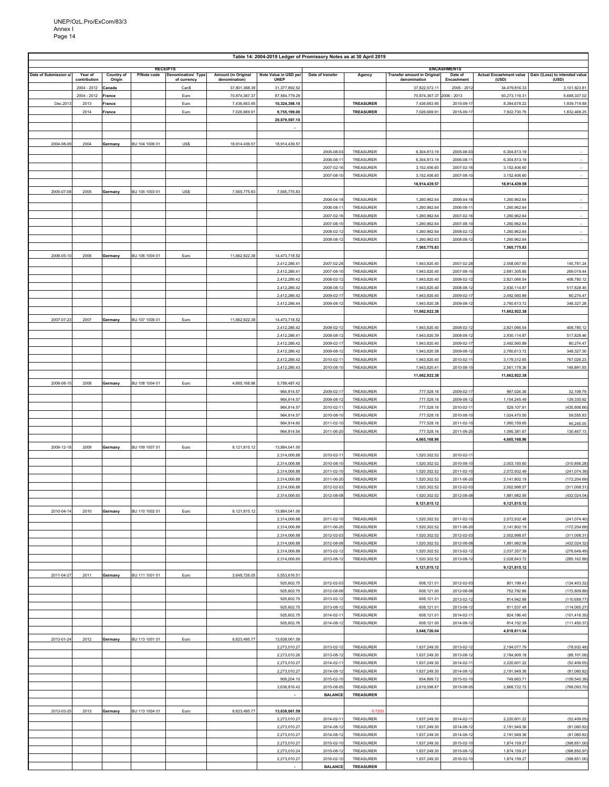|                      |              |            |                 |                    |                     | Table 14: 2004-2019 Ledger of Promissory Notes as at 30 April 2019 |                  |                  |                                   |                    |                                |                                |
|----------------------|--------------|------------|-----------------|--------------------|---------------------|--------------------------------------------------------------------|------------------|------------------|-----------------------------------|--------------------|--------------------------------|--------------------------------|
|                      |              |            | <b>RECEIPTS</b> |                    |                     |                                                                    |                  |                  |                                   | <b>ENCASHMENTS</b> |                                |                                |
| Date of Submission a | Year of      | Country of | P/Note code     | Denomination/ Type | Amount (in Original | Note Value in USD per                                              | Date of transfer | Agency           | <b>Transfer amount in Origina</b> | Date of            | <b>Actual Encashment value</b> | Gain /(Loss) to intended value |
|                      | contribution | Origin     |                 | of currency        | denomination)       | <b>UNEP</b>                                                        |                  |                  | denomination                      | Encashment         | (USD)                          | (USD)                          |
|                      | 2004 - 2012  | Canada     |                 | Can\$              | 37,801,368.39       | 31,377,892.52                                                      |                  |                  | 37,822,572.11                     | $2005 - 2012$      | 34,479,816.33                  | 3,101,923.81                   |
|                      | 2004 - 2012  | France     |                 | Euro               | 70,874,367.37       | 87,584,779.29                                                      |                  |                  | 70,874,367.37 2006 - 2013         |                    | 93,273,116.31                  | 5,688,337.02                   |
| Dec.2013             | 2013         | France     |                 | Euro               | 7,436,663.95        | 10,324,398.10                                                      |                  | <b>TREASURER</b> | 7,436,663.95                      | 2015-09-17         | 8,384,678.22                   | 1,939,719.88                   |
|                      | 2014         | France     |                 | Euro               | 7,026,669.91        | 9,755,199.00                                                       |                  | TREASURER        | 7,026,669.91                      | 2015-09-17         | 7,922,730.75                   | 1,832,468.25                   |
|                      |              |            |                 |                    |                     | 20,079,597.10                                                      |                  |                  |                                   |                    |                                |                                |
|                      |              |            |                 |                    |                     |                                                                    |                  |                  |                                   |                    |                                |                                |
|                      |              |            |                 |                    |                     |                                                                    |                  |                  |                                   |                    |                                |                                |
| 2004-08-09           | 2004         | Germany    | BU 104 1006 01  | US\$               | 18,914,439.57       | 18,914,439.57                                                      |                  |                  |                                   |                    |                                |                                |
|                      |              |            |                 |                    |                     |                                                                    | 2005-08-03       | TREASURER        | 6,304,813.19                      | 2005-08-0          | 6,304,813.19                   |                                |
|                      |              |            |                 |                    |                     |                                                                    | 2006-08-11       | TREASURER        | 6,304,813.19                      | 2006-08-11         | 6,304,813.19                   |                                |
|                      |              |            |                 |                    |                     |                                                                    | 2007-02-16       | TREASURER        | 3,152,406.60                      | 2007-02-16         | 3,152,406.60                   |                                |
|                      |              |            |                 |                    |                     |                                                                    |                  |                  |                                   |                    |                                | $\sim$                         |
|                      |              |            |                 |                    |                     |                                                                    | 2007-08-10       | TREASURER        | 3,152,406.60                      | 2007-08-1          | 3,152,406.60                   |                                |
|                      |              |            |                 |                    |                     |                                                                    |                  |                  | 18,914,439.57                     |                    | 18,914,439.58                  |                                |
| 2005-07-08           | 2005         | Germany    | BU 105 1003 01  | US\$               | 7,565,775.83        | 7,565,775.83                                                       |                  |                  |                                   |                    |                                |                                |
|                      |              |            |                 |                    |                     |                                                                    | 2006-04-18       | TREASURER        | 1,260,962.64                      | 2006-04-18         | 1,260,962.64                   | $\sim$                         |
|                      |              |            |                 |                    |                     |                                                                    | 2006-08-11       | TREASURER        | 1,260,962.64                      | 2006-08-11         | 1,260,962.64                   | $\sim$                         |
|                      |              |            |                 |                    |                     |                                                                    | 2007-02-16       | TREASURER        | 1,260,962.64                      | 2007-02-16         | 1,260,962.64                   |                                |
|                      |              |            |                 |                    |                     |                                                                    | 2007-08-10       | TREASURER        | 1,260,962.64                      | 2007-08-10         | 1,260,962.64                   | $\sim$                         |
|                      |              |            |                 |                    |                     |                                                                    | 2008-02-12       | TREASURER        | 1,260,962.64                      | 2008-02-12         | 1,260,962.64                   | $\sim$                         |
|                      |              |            |                 |                    |                     |                                                                    | 2008-08-12       | TREASURER        | 1,260,962.63                      | 2008-08-12         | 1,260,962.64                   |                                |
|                      |              |            |                 |                    |                     |                                                                    |                  |                  | 7,565,775.83                      |                    | 7,565,775.83                   |                                |
| 2006-05-10           | 2006         | Germany    | BU 106 1004 01  | Euro               | 11,662,922.38       | 14,473,718.52                                                      |                  |                  |                                   |                    |                                |                                |
|                      |              |            |                 |                    |                     | 2,412,286.41                                                       | 2007-02-28       | TREASURER        | 1,943,820.40                      | 2007-02-2          | 2,558,067.65                   | 145,781.24                     |
|                      |              |            |                 |                    |                     | 2,412,286.41                                                       | 2007-08-10       | TREASURER        | 1,943,820.40                      | 2007-08-10         | 2,681,305.85                   | 269,019.44                     |
|                      |              |            |                 |                    |                     | 2,412,286.42                                                       | 2008-02-12       | TREASURER        | 1,943,820.40                      | 2008-02-12         | 2,821,066.54                   | 408,780.12                     |
|                      |              |            |                 |                    |                     | 2,412,286.42                                                       | 2008-08-12       | TREASURER        | 1,943,820.40                      | 2008-08-12         | 2,930,114.87                   | 517,828.45                     |
|                      |              |            |                 |                    |                     | 2,412,286.42                                                       | 2009-02-17       | TREASURER        | 1,943,820.40                      | 2009-02-1          | 2,492,560.89                   | 80,274.47                      |
|                      |              |            |                 |                    |                     | 2,412,286.44                                                       | 2009-08-12       | TREASURER        | 1,943,820.38                      | 2009-08-12         | 2,760,613.72                   | 348,327.28                     |
|                      |              |            |                 |                    |                     |                                                                    |                  |                  | 11,662,922.38                     |                    | 11,662,922.38                  |                                |
| 2007-07-23           | 2007         | Germany    | BU 107 1006 01  | Euro               | 11,662,922.38       | 14,473,718.52                                                      |                  |                  |                                   |                    |                                |                                |
|                      |              |            |                 |                    |                     | 2.412.286.42                                                       | 2008-02-12       |                  | 1.943.820.40                      | 2008-02-12         | 2.821.066.54                   | 408,780.12                     |
|                      |              |            |                 |                    |                     |                                                                    |                  | TREASURER        |                                   |                    |                                |                                |
|                      |              |            |                 |                    |                     | 2,412,286.41                                                       | 2008-08-12       | TREASURER        | 1,943,820.39                      | 2008-08-12         | 2,930,114.87                   | 517,828.46                     |
|                      |              |            |                 |                    |                     | 2,412,286.42                                                       | 2009-02-17       | TREASURER        | 1,943,820.40                      | 2009-02-1          | 2,492,560.89                   | 80,274.47                      |
|                      |              |            |                 |                    |                     | 2,412,286.42                                                       | 2009-08-12       | TREASURER        | 1,943,820.38                      | 2009-08-12         | 2,760,613.72                   | 348,327.30                     |
|                      |              |            |                 |                    |                     | 2,412,286.42                                                       | 2010-02-11       | TREASURER        | 1,943,820.40                      | 2010-02-1          | 3,179,312.65                   | 767,026.23                     |
|                      |              |            |                 |                    |                     | 2,412,286.43                                                       | 2010-08-10       | TREASURER        | 1,943,820.41                      | 2010-08-10         | 2,561,178.36                   | 148,891.93                     |
|                      |              |            |                 |                    |                     |                                                                    |                  |                  | 11,662,922.38                     |                    | 11,662,922.38                  |                                |
| 2008-08-15           | 2008         | Germany    | BU 108 1004 01  | Euro               | 4,665,168.96        | 5,789,487.42                                                       |                  |                  |                                   |                    |                                |                                |
|                      |              |            |                 |                    |                     | 964,914.57                                                         | 2009-02-17       | TREASURER        | 777,528.16                        | 2009-02-17         | 997,024.36                     | 32,109.79                      |
|                      |              |            |                 |                    |                     | 964,914.57                                                         | 2009-08-12       | TREASURER        | 777,528.16                        | 2009-08-12         | 1,104,245.49                   | 139,330.92                     |
|                      |              |            |                 |                    |                     | 964,914.57                                                         | 2010-02-11       | TREASURER        | 777,528.16                        | 2010-02-1          | 529,107.91                     | (435,806.66                    |
|                      |              |            |                 |                    |                     | 964,914.57                                                         | 2010-08-10       | TREASURER        | 777,528.16                        | 2010-08-10         | 1,024,470.50                   | 59,555.93                      |
|                      |              |            |                 |                    |                     | 964,914.60                                                         | 2011-02-10       | TREASURER        | 777,528.16                        | 2011-02-10         | 1,060,159.65                   | 95,245.05                      |
|                      |              |            |                 |                    |                     | 964,914.54                                                         | 2011-06-20       | TREASURER        | 777,528.16                        | 2011-06-20         | 1,095,381.67                   | 130,467.13                     |
|                      |              |            |                 |                    |                     |                                                                    |                  |                  | 4,665,168.96                      |                    | 4,665,168.96                   |                                |
| 2009-12-18           | 2009         | Germany    | BU 109 1007 01  | Euro               | 9,121,815.12        | 13,884,041.00                                                      |                  |                  |                                   |                    |                                |                                |
|                      |              |            |                 |                    |                     | 2,314,006.88                                                       | 2010-02-11       | TREASURER        | 1,520,302.52                      | 2010-02-1          |                                |                                |
|                      |              |            |                 |                    |                     | 2,314,006.88                                                       | 2010-08-10       | TREASURER        | 1,520,302.52                      | 2010-08-10         | 2,003,150.60                   | (310,856.28                    |
|                      |              |            |                 |                    |                     | 2,314,006.88                                                       | 2011-02-10       | TREASURER        | 1,520,302.52                      | 2011-02-10         | 2,072,932.49                   | (241,074.39                    |
|                      |              |            |                 |                    |                     | 2,314,006.88                                                       | 2011-06-20       | TREASURER        | 1,520,302.52                      | 2011-06-2          | 2,141,802.19                   | (172, 204.69)                  |
|                      |              |            |                 |                    |                     | 2,314,006.88                                                       | 2012-02-03       | TREASURER        | 1,520,302.52                      | 2012-02-03         | 2,002,998.57                   | (311,008.31)                   |
|                      |              |            |                 |                    |                     | 2,314,006.60                                                       | 2012-08-08       | TREASURER        | 1,520,302.52                      | 2012-08-08         | 1,881,982.56                   | (432, 024.04)                  |
|                      |              |            |                 |                    |                     |                                                                    |                  |                  | 9,121,815.12                      |                    | 9,121,815.12                   |                                |
| 2010-04-14           | 2010         |            | BU 110 1002 01  | Euro               | 9,121,815.12        | 13,884,041.00                                                      |                  |                  |                                   |                    |                                |                                |
|                      |              | Germany    |                 |                    |                     |                                                                    |                  |                  |                                   |                    |                                |                                |
|                      |              |            |                 |                    |                     | 2,314,006.88                                                       | 2011-02-10       | TREASURER        | 1,520,302.52                      | 2011-02-1          | 2,072,932.48                   | (241, 074.40)                  |
|                      |              |            |                 |                    |                     | 2,314,006.88                                                       | 2011-06-20       | TREASURER        | 1,520,302.52                      | 2011-06-20         | 2,141,802.19                   | (172,204.69)                   |
|                      |              |            |                 |                    |                     | 2,314,006.88                                                       | 2012-02-03       | TREASURER        | 1,520,302.52                      | 2012-02-03         | 2,002,998.57                   | (311,008.31)                   |
|                      |              |            |                 |                    |                     | 2,314,006.88                                                       | 2012-08-08       | TREASURER        | 1,520,302.52                      | 2012-08-08         | 1,881,982.56                   | (432,024.32                    |
|                      |              |            |                 |                    |                     | 2,314,006.88                                                       | 2013-02-12       | TREASURER        | 1,520,302.52                      | 2013-02-12         | 2,037,357.39                   | (276, 649.49)                  |
|                      |              |            |                 |                    |                     | 2,314,006.60                                                       | 2013-08-12       | TREASURER        | 1,520,302.52                      | 2013-08-12         | 2,028,843.72                   | (285, 162.88)                  |
|                      |              |            |                 |                    |                     |                                                                    |                  |                  | 9,121,815.12                      |                    | 9,121,815.12                   |                                |
| 2011-04-27           | 2011         | Germany    | BU 111 1001 01  | Euro               | 3,648,726.05        | 5,553,616.51                                                       |                  |                  |                                   |                    |                                |                                |
|                      |              |            |                 |                    |                     | 925,602.75                                                         | 2012-02-03       | TREASURER        | 608,121.01                        | 2012-02-03         | 801,199.43                     | (124, 403.32)                  |
|                      |              |            |                 |                    |                     | 925,602.75                                                         | 2012-08-08       | TREASURER        | 608,121.00                        | 2012-08-08         | 752,792.86                     | (172,809.89                    |
|                      |              |            |                 |                    |                     | 925,602.75                                                         | 2013-02-12       | TREASURER        | 608,121.01                        | 2013-02-12         | 814,942.98                     | (110,659.77)                   |
|                      |              |            |                 |                    |                     | 925,602.75                                                         | 2013-08-12       | TREASURER        | 608,121.01                        | 2013-08-12         | 811,537.48                     | (114, 065.27)                  |
|                      |              |            |                 |                    |                     | 925,602.75                                                         | 2014-02-11       | TREASURER        | 608,121.01                        | 2014-02-11         | 824,186.40                     | (101, 416.35)                  |
|                      |              |            |                 |                    |                     | 925,602.76                                                         | 2014-08-12       | TREASURER        | 608,121.00                        | 2014-08-12         | 814,152.39                     | (111, 450.37)                  |
|                      |              |            |                 |                    |                     |                                                                    |                  |                  | 3,648,726.04                      |                    | 4,818,811.54                   |                                |
| 2013-01-24           | 2012         | Germany    | BU 113 1001 01  | Euro               | 9,823,495.77        | 13,638,061.59                                                      |                  |                  |                                   |                    |                                |                                |
|                      |              |            |                 |                    |                     | 2,273,010.27                                                       | 2013-02-12       | TREASURER        | 1,637,249.30                      | 2013-02-12         | 2,194,077.79                   | (78,932.48                     |
|                      |              |            |                 |                    |                     | 2,273,010.26                                                       | 2013-08-12       | TREASURER        | 1,637,249.30                      | 2013-08-12         | 2,184,909.18                   | (88, 101.08)                   |
|                      |              |            |                 |                    |                     | 2,273,010.27                                                       | 2014-02-11       | TREASURER        | 1,637,249.30                      | 2014-02-1          | 2,220,601.22                   | (52, 409.05)                   |
|                      |              |            |                 |                    |                     | 2,273,010.27                                                       | 2014-08-12       | TREASURER        | 1,637,249.30                      | 2014-08-12         | 2,191,949.36                   | (81,060.92                     |
|                      |              |            |                 |                    |                     | 909,204.10                                                         | 2015-02-10       | TREASURER        | 654,899.72                        | 2015-02-10         | 749,663.71                     | (159, 540.39)                  |
|                      |              |            |                 |                    |                     | 3,636,816.42                                                       | 2015-08-05       | TREASURER        | 2,619,598.87                      | 2015-08-05         | 2,868,722.72                   | (768,093.70                    |
|                      |              |            |                 |                    |                     |                                                                    | <b>BALANCE</b>   | <b>TREASURER</b> |                                   |                    |                                |                                |
|                      |              |            |                 |                    |                     |                                                                    |                  |                  |                                   |                    |                                |                                |
| 2013-03-25           | 2013         | Germany    | BU 113 1004 01  | Euro               | 9,823,495.77        | 13,638,061.59                                                      |                  | 0.720            |                                   |                    |                                |                                |
|                      |              |            |                 |                    |                     | 2,273,010.27                                                       | 2014-02-1        | TREASURER        | 1,637,249.30                      | 2014-02-1          | 2,220,601.22                   | (52, 409.05)                   |
|                      |              |            |                 |                    |                     | 2,273,010.27                                                       | 2014-08-12       | TREASURER        | 1,637,249.30                      | 2014-08-12         | 2,191,949.36                   | (81,060.92)                    |
|                      |              |            |                 |                    |                     |                                                                    |                  |                  |                                   |                    |                                | (81,060.92)                    |
|                      |              |            |                 |                    |                     | 2,273,010.27                                                       | 2014-08-12       | TREASURER        | 1,637,249.30                      | 2014-08-12         | 2,191,949.36                   |                                |
|                      |              |            |                 |                    |                     | 2,273,010.27                                                       | 2015-02-10       | TREASURER        | 1,637,249.30                      | 2015-02-1          | 1,874,159.27                   | (398,851.00)                   |
|                      |              |            |                 |                    |                     | 2,273,010.24                                                       | 2015-08-12       | TREASURER        | 1,637,249.30                      | 2015-08-12         | 1,874,159.27                   | (398,850.97                    |
|                      |              |            |                 |                    |                     | 2,273,010.27                                                       | 2016-02-10       | TREASURER        | 1,637,249.30                      | 2016-02-10         | 1,874,159.27                   | (398,851.00)                   |
|                      |              |            |                 |                    |                     |                                                                    | <b>BALANCE</b>   | <b>TREASURER</b> |                                   |                    |                                |                                |